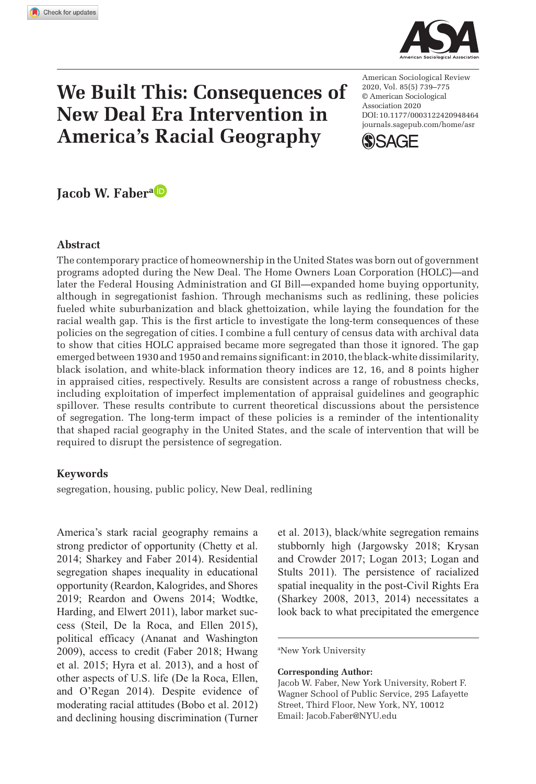**9484[64](http://crossmark.crossref.org/dialog/?doi=10.1177%2F0003122420948464&domain=pdf&date_stamp=2020-08-21)** ASRXXX10.1177/0003122420948464American Sociological ReviewFaber



# **We Built This: Consequences of New Deal Era Intervention in America's Racial Geography**

DOI: 10.1177/0003122420948464 American Sociological Review 2020, Vol. 85(5) 739–775 © American Sociological Association 2020 [journals.sagepub.com/home/asr](https://journals.sagepub.com/home/asr)



**Jacob W. Fabera**

#### **Abstract**

The contemporary practice of homeownership in the United States was born out of government programs adopted during the New Deal. The Home Owners Loan Corporation (HOLC)—and later the Federal Housing Administration and GI Bill—expanded home buying opportunity, although in segregationist fashion. Through mechanisms such as redlining, these policies fueled white suburbanization and black ghettoization, while laying the foundation for the racial wealth gap. This is the first article to investigate the long-term consequences of these policies on the segregation of cities. I combine a full century of census data with archival data to show that cities HOLC appraised became more segregated than those it ignored. The gap emerged between 1930 and 1950 and remains significant: in 2010, the black-white dissimilarity, black isolation, and white-black information theory indices are 12, 16, and 8 points higher in appraised cities, respectively. Results are consistent across a range of robustness checks, including exploitation of imperfect implementation of appraisal guidelines and geographic spillover. These results contribute to current theoretical discussions about the persistence of segregation. The long-term impact of these policies is a reminder of the intentionality that shaped racial geography in the United States, and the scale of intervention that will be required to disrupt the persistence of segregation.

### **Keywords**

segregation, housing, public policy, New Deal, redlining

America's stark racial geography remains a strong predictor of opportunity (Chetty et al. 2014; Sharkey and Faber 2014). Residential segregation shapes inequality in educational opportunity (Reardon, Kalogrides, and Shores 2019; Reardon and Owens 2014; Wodtke, Harding, and Elwert 2011), labor market success (Steil, De la Roca, and Ellen 2015), political efficacy (Ananat and Washington 2009), access to credit (Faber 2018; Hwang et al. 2015; Hyra et al. 2013), and a host of other aspects of U.S. life (De la Roca, Ellen, and O'Regan 2014). Despite evidence of moderating racial attitudes (Bobo et al. 2012) and declining housing discrimination (Turner

et al. 2013), black/white segregation remains stubbornly high (Jargowsky 2018; Krysan and Crowder 2017; Logan 2013; Logan and Stults 2011). The persistence of racialized spatial inequality in the post-Civil Rights Era (Sharkey 2008, 2013, 2014) necessitates a look back to what precipitated the emergence

a New York University

#### **Corresponding Author:**

Jacob W. Faber, New York University, Robert F. Wagner School of Public Service, 295 Lafayette Street, Third Floor, New York, NY, 10012 Email: [Jacob.Faber@NYU.edu](mailto:Jacob.Faber@NYU.edu)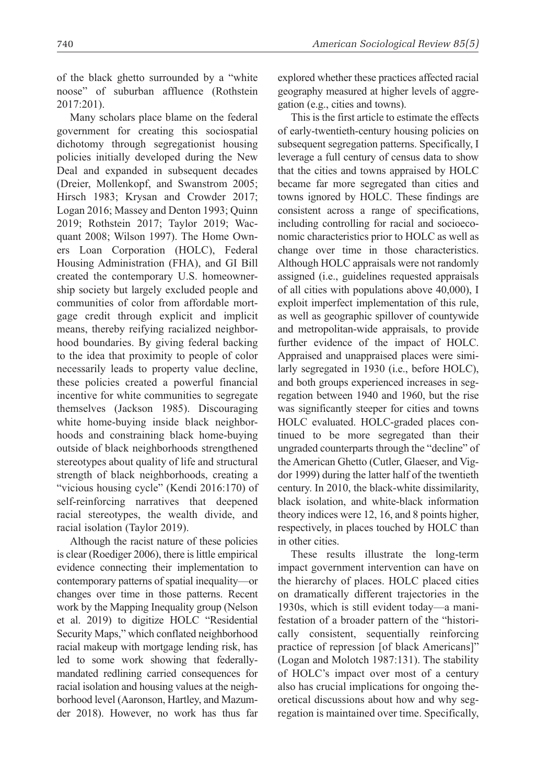of the black ghetto surrounded by a "white noose" of suburban affluence (Rothstein 2017:201).

Many scholars place blame on the federal government for creating this sociospatial dichotomy through segregationist housing policies initially developed during the New Deal and expanded in subsequent decades (Dreier, Mollenkopf, and Swanstrom 2005; Hirsch 1983; Krysan and Crowder 2017; Logan 2016; Massey and Denton 1993; Quinn 2019; Rothstein 2017; Taylor 2019; Wacquant 2008; Wilson 1997). The Home Owners Loan Corporation (HOLC), Federal Housing Administration (FHA), and GI Bill created the contemporary U.S. homeownership society but largely excluded people and communities of color from affordable mortgage credit through explicit and implicit means, thereby reifying racialized neighborhood boundaries. By giving federal backing to the idea that proximity to people of color necessarily leads to property value decline, these policies created a powerful financial incentive for white communities to segregate themselves (Jackson 1985). Discouraging white home-buying inside black neighborhoods and constraining black home-buying outside of black neighborhoods strengthened stereotypes about quality of life and structural strength of black neighborhoods, creating a "vicious housing cycle" (Kendi 2016:170) of self-reinforcing narratives that deepened racial stereotypes, the wealth divide, and racial isolation (Taylor 2019).

Although the racist nature of these policies is clear (Roediger 2006), there is little empirical evidence connecting their implementation to contemporary patterns of spatial inequality—or changes over time in those patterns. Recent work by the Mapping Inequality group (Nelson et al. 2019) to digitize HOLC "Residential Security Maps," which conflated neighborhood racial makeup with mortgage lending risk, has led to some work showing that federallymandated redlining carried consequences for racial isolation and housing values at the neighborhood level (Aaronson, Hartley, and Mazumder 2018). However, no work has thus far explored whether these practices affected racial geography measured at higher levels of aggregation (e.g., cities and towns).

This is the first article to estimate the effects of early-twentieth-century housing policies on subsequent segregation patterns. Specifically, I leverage a full century of census data to show that the cities and towns appraised by HOLC became far more segregated than cities and towns ignored by HOLC. These findings are consistent across a range of specifications, including controlling for racial and socioeconomic characteristics prior to HOLC as well as change over time in those characteristics. Although HOLC appraisals were not randomly assigned (i.e., guidelines requested appraisals of all cities with populations above 40,000), I exploit imperfect implementation of this rule, as well as geographic spillover of countywide and metropolitan-wide appraisals, to provide further evidence of the impact of HOLC. Appraised and unappraised places were similarly segregated in 1930 (i.e., before HOLC), and both groups experienced increases in segregation between 1940 and 1960, but the rise was significantly steeper for cities and towns HOLC evaluated. HOLC-graded places continued to be more segregated than their ungraded counterparts through the "decline" of the American Ghetto (Cutler, Glaeser, and Vigdor 1999) during the latter half of the twentieth century. In 2010, the black-white dissimilarity, black isolation, and white-black information theory indices were 12, 16, and 8 points higher, respectively, in places touched by HOLC than in other cities.

These results illustrate the long-term impact government intervention can have on the hierarchy of places. HOLC placed cities on dramatically different trajectories in the 1930s, which is still evident today—a manifestation of a broader pattern of the "historically consistent, sequentially reinforcing practice of repression [of black Americans]" (Logan and Molotch 1987:131). The stability of HOLC's impact over most of a century also has crucial implications for ongoing theoretical discussions about how and why segregation is maintained over time. Specifically,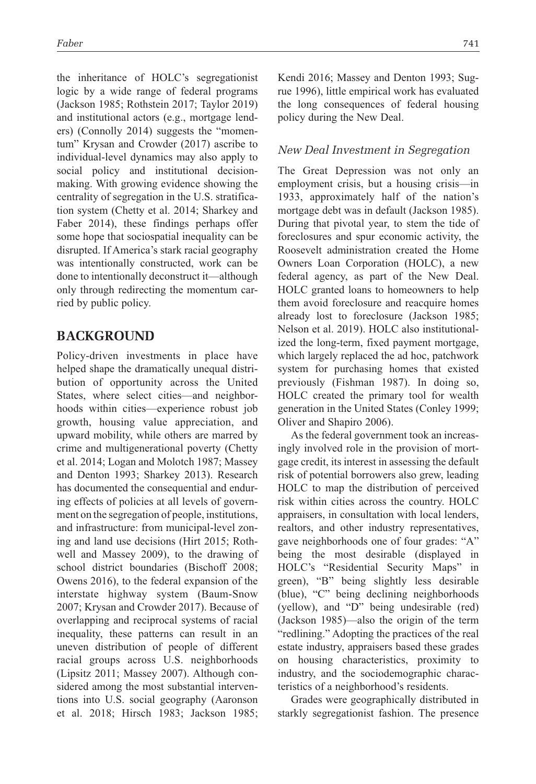the inheritance of HOLC's segregationist logic by a wide range of federal programs (Jackson 1985; Rothstein 2017; Taylor 2019) and institutional actors (e.g., mortgage lenders) (Connolly 2014) suggests the "momentum" Krysan and Crowder (2017) ascribe to individual-level dynamics may also apply to social policy and institutional decisionmaking. With growing evidence showing the centrality of segregation in the U.S. stratification system (Chetty et al. 2014; Sharkey and Faber 2014), these findings perhaps offer some hope that sociospatial inequality can be disrupted. If America's stark racial geography was intentionally constructed, work can be done to intentionally deconstruct it—although only through redirecting the momentum carried by public policy.

# **Background**

Policy-driven investments in place have helped shape the dramatically unequal distribution of opportunity across the United States, where select cities—and neighborhoods within cities—experience robust job growth, housing value appreciation, and upward mobility, while others are marred by crime and multigenerational poverty (Chetty et al. 2014; Logan and Molotch 1987; Massey and Denton 1993; Sharkey 2013). Research has documented the consequential and enduring effects of policies at all levels of government on the segregation of people, institutions, and infrastructure: from municipal-level zoning and land use decisions (Hirt 2015; Rothwell and Massey 2009), to the drawing of school district boundaries (Bischoff 2008; Owens 2016), to the federal expansion of the interstate highway system (Baum-Snow 2007; Krysan and Crowder 2017). Because of overlapping and reciprocal systems of racial inequality, these patterns can result in an uneven distribution of people of different racial groups across U.S. neighborhoods (Lipsitz 2011; Massey 2007). Although considered among the most substantial interventions into U.S. social geography (Aaronson et al. 2018; Hirsch 1983; Jackson 1985; Kendi 2016; Massey and Denton 1993; Sugrue 1996), little empirical work has evaluated the long consequences of federal housing policy during the New Deal.

### *New Deal Investment in Segregation*

The Great Depression was not only an employment crisis, but a housing crisis—in 1933, approximately half of the nation's mortgage debt was in default (Jackson 1985). During that pivotal year, to stem the tide of foreclosures and spur economic activity, the Roosevelt administration created the Home Owners Loan Corporation (HOLC), a new federal agency, as part of the New Deal. HOLC granted loans to homeowners to help them avoid foreclosure and reacquire homes already lost to foreclosure (Jackson 1985; Nelson et al. 2019). HOLC also institutionalized the long-term, fixed payment mortgage, which largely replaced the ad hoc, patchwork system for purchasing homes that existed previously (Fishman 1987). In doing so, HOLC created the primary tool for wealth generation in the United States (Conley 1999; Oliver and Shapiro 2006).

As the federal government took an increasingly involved role in the provision of mortgage credit, its interest in assessing the default risk of potential borrowers also grew, leading HOLC to map the distribution of perceived risk within cities across the country. HOLC appraisers, in consultation with local lenders, realtors, and other industry representatives, gave neighborhoods one of four grades: "A" being the most desirable (displayed in HOLC's "Residential Security Maps" in green), "B" being slightly less desirable (blue), "C" being declining neighborhoods (yellow), and "D" being undesirable (red) (Jackson 1985)—also the origin of the term "redlining." Adopting the practices of the real estate industry, appraisers based these grades on housing characteristics, proximity to industry, and the sociodemographic characteristics of a neighborhood's residents.

Grades were geographically distributed in starkly segregationist fashion. The presence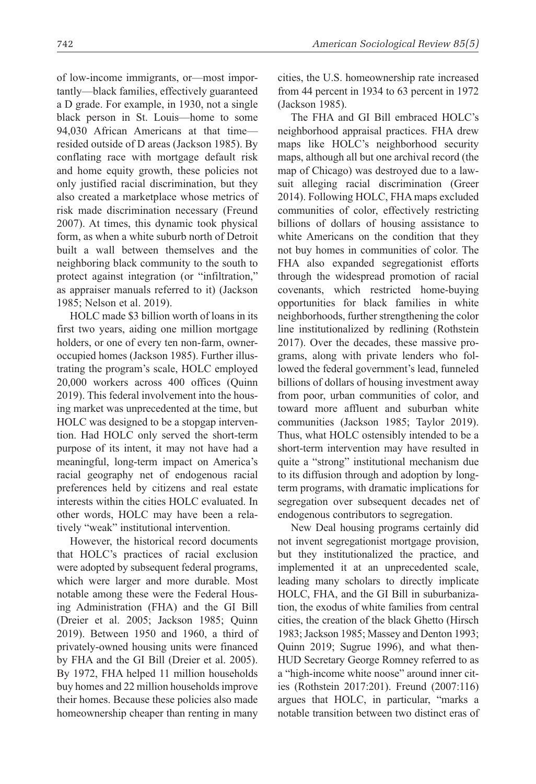of low-income immigrants, or—most importantly—black families, effectively guaranteed a D grade. For example, in 1930, not a single black person in St. Louis—home to some 94,030 African Americans at that time resided outside of D areas (Jackson 1985). By conflating race with mortgage default risk and home equity growth, these policies not only justified racial discrimination, but they also created a marketplace whose metrics of risk made discrimination necessary (Freund 2007). At times, this dynamic took physical form, as when a white suburb north of Detroit built a wall between themselves and the neighboring black community to the south to protect against integration (or "infiltration," as appraiser manuals referred to it) (Jackson 1985; Nelson et al. 2019).

HOLC made \$3 billion worth of loans in its first two years, aiding one million mortgage holders, or one of every ten non-farm, owneroccupied homes (Jackson 1985). Further illustrating the program's scale, HOLC employed 20,000 workers across 400 offices (Quinn 2019). This federal involvement into the housing market was unprecedented at the time, but HOLC was designed to be a stopgap intervention. Had HOLC only served the short-term purpose of its intent, it may not have had a meaningful, long-term impact on America's racial geography net of endogenous racial preferences held by citizens and real estate interests within the cities HOLC evaluated. In other words, HOLC may have been a relatively "weak" institutional intervention.

However, the historical record documents that HOLC's practices of racial exclusion were adopted by subsequent federal programs, which were larger and more durable. Most notable among these were the Federal Housing Administration (FHA) and the GI Bill (Dreier et al. 2005; Jackson 1985; Quinn 2019). Between 1950 and 1960, a third of privately-owned housing units were financed by FHA and the GI Bill (Dreier et al. 2005). By 1972, FHA helped 11 million households buy homes and 22 million households improve their homes. Because these policies also made homeownership cheaper than renting in many cities, the U.S. homeownership rate increased from 44 percent in 1934 to 63 percent in 1972 (Jackson 1985).

The FHA and GI Bill embraced HOLC's neighborhood appraisal practices. FHA drew maps like HOLC's neighborhood security maps, although all but one archival record (the map of Chicago) was destroyed due to a lawsuit alleging racial discrimination (Greer 2014). Following HOLC, FHA maps excluded communities of color, effectively restricting billions of dollars of housing assistance to white Americans on the condition that they not buy homes in communities of color. The FHA also expanded segregationist efforts through the widespread promotion of racial covenants, which restricted home-buying opportunities for black families in white neighborhoods, further strengthening the color line institutionalized by redlining (Rothstein 2017). Over the decades, these massive programs, along with private lenders who followed the federal government's lead, funneled billions of dollars of housing investment away from poor, urban communities of color, and toward more affluent and suburban white communities (Jackson 1985; Taylor 2019). Thus, what HOLC ostensibly intended to be a short-term intervention may have resulted in quite a "strong" institutional mechanism due to its diffusion through and adoption by longterm programs, with dramatic implications for segregation over subsequent decades net of endogenous contributors to segregation.

New Deal housing programs certainly did not invent segregationist mortgage provision, but they institutionalized the practice, and implemented it at an unprecedented scale, leading many scholars to directly implicate HOLC, FHA, and the GI Bill in suburbanization, the exodus of white families from central cities, the creation of the black Ghetto (Hirsch 1983; Jackson 1985; Massey and Denton 1993; Quinn 2019; Sugrue 1996), and what then-HUD Secretary George Romney referred to as a "high-income white noose" around inner cities (Rothstein 2017:201). Freund (2007:116) argues that HOLC, in particular, "marks a notable transition between two distinct eras of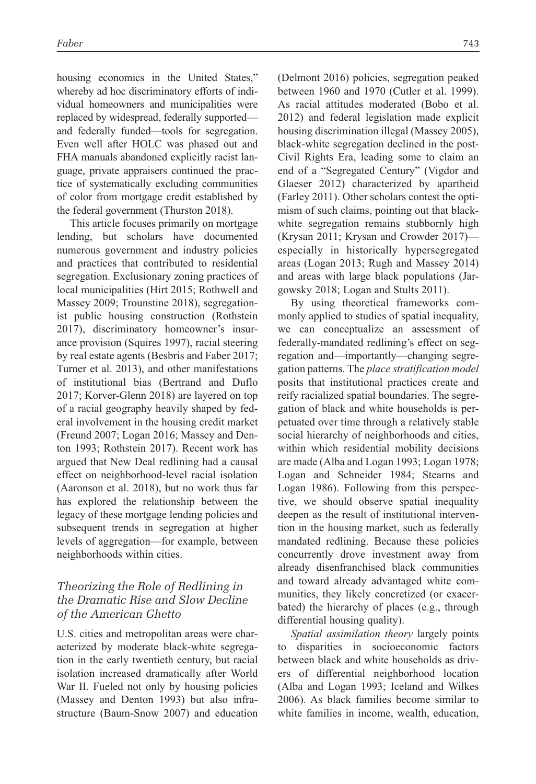housing economics in the United States," whereby ad hoc discriminatory efforts of individual homeowners and municipalities were replaced by widespread, federally supported and federally funded—tools for segregation. Even well after HOLC was phased out and FHA manuals abandoned explicitly racist language, private appraisers continued the practice of systematically excluding communities of color from mortgage credit established by the federal government (Thurston 2018).

This article focuses primarily on mortgage lending, but scholars have documented numerous government and industry policies and practices that contributed to residential segregation. Exclusionary zoning practices of local municipalities (Hirt 2015; Rothwell and Massey 2009; Trounstine 2018), segregationist public housing construction (Rothstein 2017), discriminatory homeowner's insurance provision (Squires 1997), racial steering by real estate agents (Besbris and Faber 2017; Turner et al. 2013), and other manifestations of institutional bias (Bertrand and Duflo 2017; Korver-Glenn 2018) are layered on top of a racial geography heavily shaped by federal involvement in the housing credit market (Freund 2007; Logan 2016; Massey and Denton 1993; Rothstein 2017). Recent work has argued that New Deal redlining had a causal effect on neighborhood-level racial isolation (Aaronson et al. 2018), but no work thus far has explored the relationship between the legacy of these mortgage lending policies and subsequent trends in segregation at higher levels of aggregation—for example, between neighborhoods within cities.

### *Theorizing the Role of Redlining in the Dramatic Rise and Slow Decline of the American Ghetto*

U.S. cities and metropolitan areas were characterized by moderate black-white segregation in the early twentieth century, but racial isolation increased dramatically after World War II. Fueled not only by housing policies (Massey and Denton 1993) but also infrastructure (Baum-Snow 2007) and education (Delmont 2016) policies, segregation peaked between 1960 and 1970 (Cutler et al. 1999). As racial attitudes moderated (Bobo et al. 2012) and federal legislation made explicit housing discrimination illegal (Massey 2005), black-white segregation declined in the post-Civil Rights Era, leading some to claim an end of a "Segregated Century" (Vigdor and Glaeser 2012) characterized by apartheid (Farley 2011). Other scholars contest the optimism of such claims, pointing out that blackwhite segregation remains stubbornly high (Krysan 2011; Krysan and Crowder 2017) especially in historically hypersegregated areas (Logan 2013; Rugh and Massey 2014) and areas with large black populations (Jargowsky 2018; Logan and Stults 2011).

By using theoretical frameworks commonly applied to studies of spatial inequality, we can conceptualize an assessment of federally-mandated redlining's effect on segregation and—importantly—changing segregation patterns. The *place stratification model* posits that institutional practices create and reify racialized spatial boundaries. The segregation of black and white households is perpetuated over time through a relatively stable social hierarchy of neighborhoods and cities, within which residential mobility decisions are made (Alba and Logan 1993; Logan 1978; Logan and Schneider 1984; Stearns and Logan 1986). Following from this perspective, we should observe spatial inequality deepen as the result of institutional intervention in the housing market, such as federally mandated redlining. Because these policies concurrently drove investment away from already disenfranchised black communities and toward already advantaged white communities, they likely concretized (or exacerbated) the hierarchy of places (e.g., through differential housing quality).

*Spatial assimilation theory* largely points to disparities in socioeconomic factors between black and white households as drivers of differential neighborhood location (Alba and Logan 1993; Iceland and Wilkes 2006). As black families become similar to white families in income, wealth, education,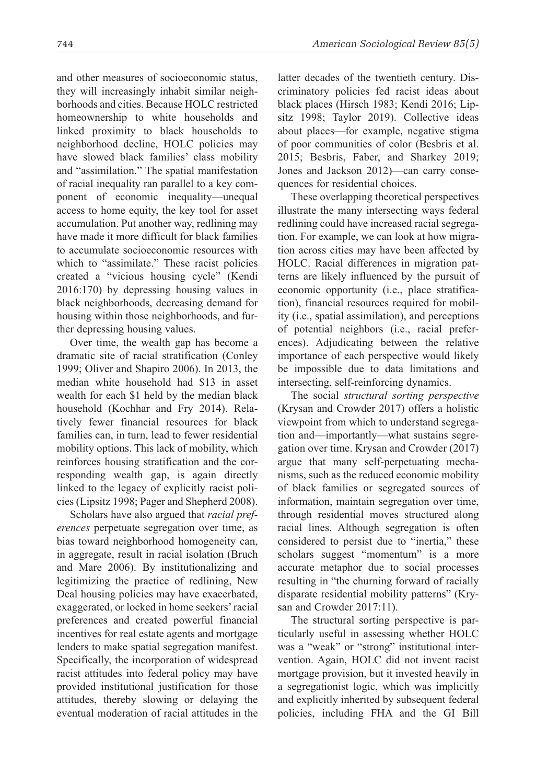and other measures of socioeconomic status, they will increasingly inhabit similar neighborhoods and cities. Because HOLC restricted homeownership to white households and linked proximity to black households to neighborhood decline, HOLC policies may have slowed black families' class mobility and "assimilation." The spatial manifestation of racial inequality ran parallel to a key component of economic inequality—unequal access to home equity, the key tool for asset accumulation. Put another way, redlining may have made it more difficult for black families to accumulate socioeconomic resources with which to "assimilate." These racist policies created a "vicious housing cycle" (Kendi 2016:170) by depressing housing values in black neighborhoods, decreasing demand for housing within those neighborhoods, and further depressing housing values.

Over time, the wealth gap has become a dramatic site of racial stratification (Conley 1999; Oliver and Shapiro 2006). In 2013, the median white household had \$13 in asset wealth for each \$1 held by the median black household (Kochhar and Fry 2014). Relatively fewer financial resources for black families can, in turn, lead to fewer residential mobility options. This lack of mobility, which reinforces housing stratification and the corresponding wealth gap, is again directly linked to the legacy of explicitly racist policies (Lipsitz 1998; Pager and Shepherd 2008).

Scholars have also argued that *racial preferences* perpetuate segregation over time, as bias toward neighborhood homogeneity can, in aggregate, result in racial isolation (Bruch and Mare 2006). By institutionalizing and legitimizing the practice of redlining, New Deal housing policies may have exacerbated, exaggerated, or locked in home seekers' racial preferences and created powerful financial incentives for real estate agents and mortgage lenders to make spatial segregation manifest. Specifically, the incorporation of widespread racist attitudes into federal policy may have provided institutional justification for those attitudes, thereby slowing or delaying the eventual moderation of racial attitudes in the latter decades of the twentieth century. Discriminatory policies fed racist ideas about black places (Hirsch 1983; Kendi 2016; Lipsitz 1998; Taylor 2019). Collective ideas about places—for example, negative stigma of poor communities of color (Besbris et al. 2015; Besbris, Faber, and Sharkey 2019; Jones and Jackson 2012)—can carry consequences for residential choices.

These overlapping theoretical perspectives illustrate the many intersecting ways federal redlining could have increased racial segregation. For example, we can look at how migration across cities may have been affected by HOLC. Racial differences in migration patterns are likely influenced by the pursuit of economic opportunity (i.e., place stratification), financial resources required for mobility (i.e., spatial assimilation), and perceptions of potential neighbors (i.e., racial preferences). Adjudicating between the relative importance of each perspective would likely be impossible due to data limitations and intersecting, self-reinforcing dynamics.

The social *structural sorting perspective* (Krysan and Crowder 2017) offers a holistic viewpoint from which to understand segregation and—importantly—what sustains segregation over time. Krysan and Crowder (2017) argue that many self-perpetuating mechanisms, such as the reduced economic mobility of black families or segregated sources of information, maintain segregation over time, through residential moves structured along racial lines. Although segregation is often considered to persist due to "inertia," these scholars suggest "momentum" is a more accurate metaphor due to social processes resulting in "the churning forward of racially disparate residential mobility patterns" (Krysan and Crowder 2017:11).

The structural sorting perspective is particularly useful in assessing whether HOLC was a "weak" or "strong" institutional intervention. Again, HOLC did not invent racist mortgage provision, but it invested heavily in a segregationist logic, which was implicitly and explicitly inherited by subsequent federal policies, including FHA and the GI Bill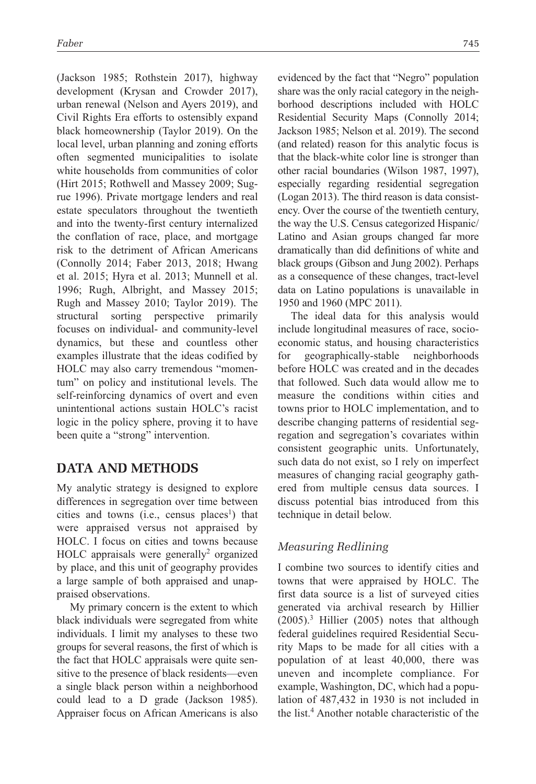(Jackson 1985; Rothstein 2017), highway development (Krysan and Crowder 2017), urban renewal (Nelson and Ayers 2019), and Civil Rights Era efforts to ostensibly expand black homeownership (Taylor 2019). On the local level, urban planning and zoning efforts often segmented municipalities to isolate white households from communities of color (Hirt 2015; Rothwell and Massey 2009; Sugrue 1996). Private mortgage lenders and real estate speculators throughout the twentieth and into the twenty-first century internalized the conflation of race, place, and mortgage risk to the detriment of African Americans (Connolly 2014; Faber 2013, 2018; Hwang et al. 2015; Hyra et al. 2013; Munnell et al. 1996; Rugh, Albright, and Massey 2015; Rugh and Massey 2010; Taylor 2019). The structural sorting perspective primarily focuses on individual- and community-level dynamics, but these and countless other examples illustrate that the ideas codified by HOLC may also carry tremendous "momentum" on policy and institutional levels. The self-reinforcing dynamics of overt and even unintentional actions sustain HOLC's racist logic in the policy sphere, proving it to have been quite a "strong" intervention.

# **Data and Methods**

My analytic strategy is designed to explore differences in segregation over time between cities and towns (i.e., census places<sup>1</sup>) that were appraised versus not appraised by HOLC. I focus on cities and towns because HOLC appraisals were generally<sup>2</sup> organized by place, and this unit of geography provides a large sample of both appraised and unappraised observations.

My primary concern is the extent to which black individuals were segregated from white individuals. I limit my analyses to these two groups for several reasons, the first of which is the fact that HOLC appraisals were quite sensitive to the presence of black residents—even a single black person within a neighborhood could lead to a D grade (Jackson 1985). Appraiser focus on African Americans is also evidenced by the fact that "Negro" population share was the only racial category in the neighborhood descriptions included with HOLC Residential Security Maps (Connolly 2014; Jackson 1985; Nelson et al. 2019). The second (and related) reason for this analytic focus is that the black-white color line is stronger than other racial boundaries (Wilson 1987, 1997), especially regarding residential segregation (Logan 2013). The third reason is data consistency. Over the course of the twentieth century, the way the U.S. Census categorized Hispanic/ Latino and Asian groups changed far more dramatically than did definitions of white and black groups (Gibson and Jung 2002). Perhaps as a consequence of these changes, tract-level data on Latino populations is unavailable in 1950 and 1960 (MPC 2011).

The ideal data for this analysis would include longitudinal measures of race, socioeconomic status, and housing characteristics for geographically-stable neighborhoods before HOLC was created and in the decades that followed. Such data would allow me to measure the conditions within cities and towns prior to HOLC implementation, and to describe changing patterns of residential segregation and segregation's covariates within consistent geographic units. Unfortunately, such data do not exist, so I rely on imperfect measures of changing racial geography gathered from multiple census data sources. I discuss potential bias introduced from this technique in detail below.

### *Measuring Redlining*

I combine two sources to identify cities and towns that were appraised by HOLC. The first data source is a list of surveyed cities generated via archival research by Hillier  $(2005).<sup>3</sup>$  Hillier  $(2005)$  notes that although federal guidelines required Residential Security Maps to be made for all cities with a population of at least 40,000, there was uneven and incomplete compliance. For example, Washington, DC, which had a population of 487,432 in 1930 is not included in the list.<sup>4</sup> Another notable characteristic of the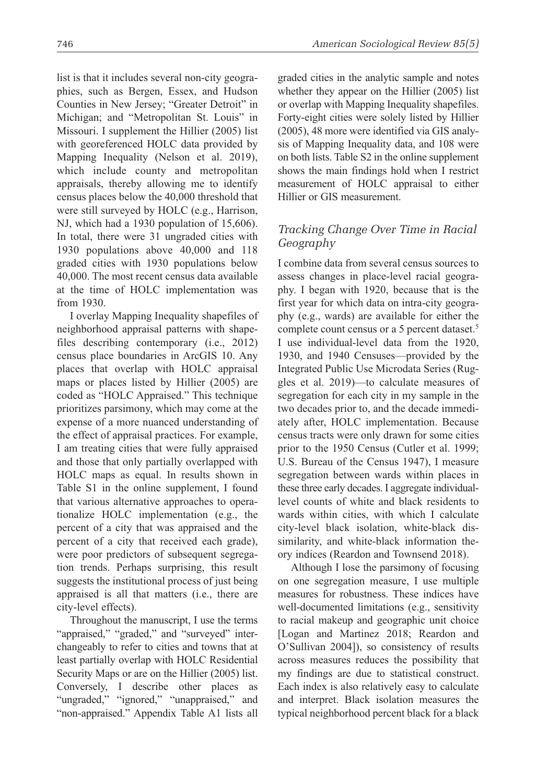list is that it includes several non-city geographies, such as Bergen, Essex, and Hudson Counties in New Jersey; "Greater Detroit" in Michigan; and "Metropolitan St. Louis" in Missouri. I supplement the Hillier (2005) list with georeferenced HOLC data provided by Mapping Inequality (Nelson et al. 2019), which include county and metropolitan appraisals, thereby allowing me to identify census places below the 40,000 threshold that were still surveyed by HOLC (e.g., Harrison, NJ, which had a 1930 population of 15,606). In total, there were 31 ungraded cities with 1930 populations above 40,000 and 118 graded cities with 1930 populations below 40,000. The most recent census data available at the time of HOLC implementation was from 1930.

I overlay Mapping Inequality shapefiles of neighborhood appraisal patterns with shapefiles describing contemporary (i.e., 2012) census place boundaries in ArcGIS 10. Any places that overlap with HOLC appraisal maps or places listed by Hillier (2005) are coded as "HOLC Appraised." This technique prioritizes parsimony, which may come at the expense of a more nuanced understanding of the effect of appraisal practices. For example, I am treating cities that were fully appraised and those that only partially overlapped with HOLC maps as equal. In results shown in Table S1 in the online supplement, I found that various alternative approaches to operationalize HOLC implementation (e.g., the percent of a city that was appraised and the percent of a city that received each grade), were poor predictors of subsequent segregation trends. Perhaps surprising, this result suggests the institutional process of just being appraised is all that matters (i.e., there are city-level effects).

Throughout the manuscript, I use the terms "appraised," "graded," and "surveyed" interchangeably to refer to cities and towns that at least partially overlap with HOLC Residential Security Maps or are on the Hillier (2005) list. Conversely, I describe other places as "ungraded," "ignored," "unappraised," and "non-appraised." Appendix Table A1 lists all graded cities in the analytic sample and notes whether they appear on the Hillier (2005) list or overlap with Mapping Inequality shapefiles. Forty-eight cities were solely listed by Hillier (2005), 48 more were identified via GIS analysis of Mapping Inequality data, and 108 were on both lists. Table S2 in the online supplement shows the main findings hold when I restrict measurement of HOLC appraisal to either Hillier or GIS measurement.

### *Tracking Change Over Time in Racial Geography*

I combine data from several census sources to assess changes in place-level racial geography. I began with 1920, because that is the first year for which data on intra-city geography (e.g., wards) are available for either the complete count census or a 5 percent dataset.<sup>5</sup> I use individual-level data from the 1920, 1930, and 1940 Censuses—provided by the Integrated Public Use Microdata Series (Ruggles et al. 2019)—to calculate measures of segregation for each city in my sample in the two decades prior to, and the decade immediately after, HOLC implementation. Because census tracts were only drawn for some cities prior to the 1950 Census (Cutler et al. 1999; U.S. Bureau of the Census 1947), I measure segregation between wards within places in these three early decades. I aggregate individuallevel counts of white and black residents to wards within cities, with which I calculate city-level black isolation, white-black dissimilarity, and white-black information theory indices (Reardon and Townsend 2018).

Although I lose the parsimony of focusing on one segregation measure, I use multiple measures for robustness. These indices have well-documented limitations (e.g., sensitivity to racial makeup and geographic unit choice [Logan and Martinez 2018; Reardon and O'Sullivan 2004]), so consistency of results across measures reduces the possibility that my findings are due to statistical construct. Each index is also relatively easy to calculate and interpret. Black isolation measures the typical neighborhood percent black for a black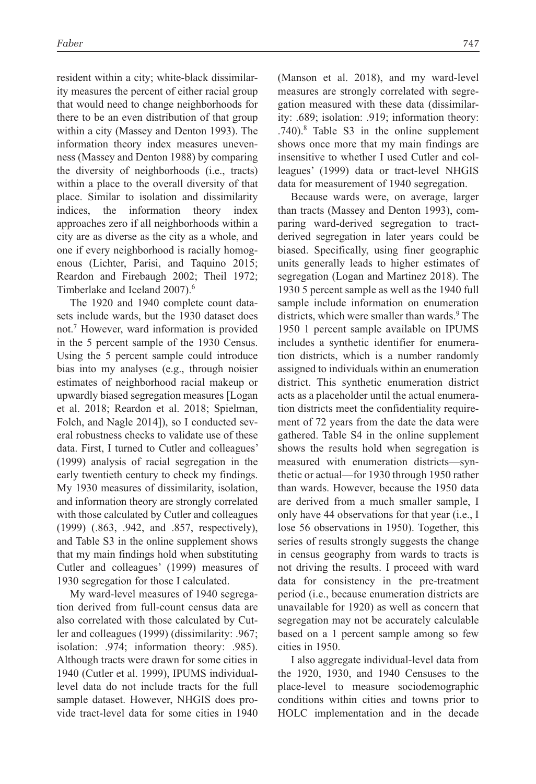resident within a city; white-black dissimilarity measures the percent of either racial group that would need to change neighborhoods for there to be an even distribution of that group within a city (Massey and Denton 1993). The information theory index measures unevenness (Massey and Denton 1988) by comparing the diversity of neighborhoods (i.e., tracts) within a place to the overall diversity of that place. Similar to isolation and dissimilarity indices, the information theory index approaches zero if all neighborhoods within a city are as diverse as the city as a whole, and one if every neighborhood is racially homogenous (Lichter, Parisi, and Taquino 2015; Reardon and Firebaugh 2002; Theil 1972; Timberlake and Iceland 2007).<sup>6</sup>

The 1920 and 1940 complete count datasets include wards, but the 1930 dataset does not.7 However, ward information is provided in the 5 percent sample of the 1930 Census. Using the 5 percent sample could introduce bias into my analyses (e.g., through noisier estimates of neighborhood racial makeup or upwardly biased segregation measures [Logan et al. 2018; Reardon et al. 2018; Spielman, Folch, and Nagle 2014]), so I conducted several robustness checks to validate use of these data. First, I turned to Cutler and colleagues' (1999) analysis of racial segregation in the early twentieth century to check my findings. My 1930 measures of dissimilarity, isolation, and information theory are strongly correlated with those calculated by Cutler and colleagues (1999) (.863, .942, and .857, respectively), and Table S3 in the online supplement shows that my main findings hold when substituting Cutler and colleagues' (1999) measures of 1930 segregation for those I calculated.

My ward-level measures of 1940 segregation derived from full-count census data are also correlated with those calculated by Cutler and colleagues (1999) (dissimilarity: .967; isolation: .974; information theory: .985). Although tracts were drawn for some cities in 1940 (Cutler et al. 1999), IPUMS individuallevel data do not include tracts for the full sample dataset. However, NHGIS does provide tract-level data for some cities in 1940 (Manson et al. 2018), and my ward-level measures are strongly correlated with segregation measured with these data (dissimilarity: .689; isolation: .919; information theory: .740).8 Table S3 in the online supplement shows once more that my main findings are insensitive to whether I used Cutler and colleagues' (1999) data or tract-level NHGIS data for measurement of 1940 segregation.

Because wards were, on average, larger than tracts (Massey and Denton 1993), comparing ward-derived segregation to tractderived segregation in later years could be biased. Specifically, using finer geographic units generally leads to higher estimates of segregation (Logan and Martinez 2018). The 1930 5 percent sample as well as the 1940 full sample include information on enumeration districts, which were smaller than wards.<sup>9</sup> The 1950 1 percent sample available on IPUMS includes a synthetic identifier for enumeration districts, which is a number randomly assigned to individuals within an enumeration district. This synthetic enumeration district acts as a placeholder until the actual enumeration districts meet the confidentiality requirement of 72 years from the date the data were gathered. Table S4 in the online supplement shows the results hold when segregation is measured with enumeration districts—synthetic or actual—for 1930 through 1950 rather than wards. However, because the 1950 data are derived from a much smaller sample, I only have 44 observations for that year (i.e., I lose 56 observations in 1950). Together, this series of results strongly suggests the change in census geography from wards to tracts is not driving the results. I proceed with ward data for consistency in the pre-treatment period (i.e., because enumeration districts are unavailable for 1920) as well as concern that segregation may not be accurately calculable based on a 1 percent sample among so few cities in 1950.

I also aggregate individual-level data from the 1920, 1930, and 1940 Censuses to the place-level to measure sociodemographic conditions within cities and towns prior to HOLC implementation and in the decade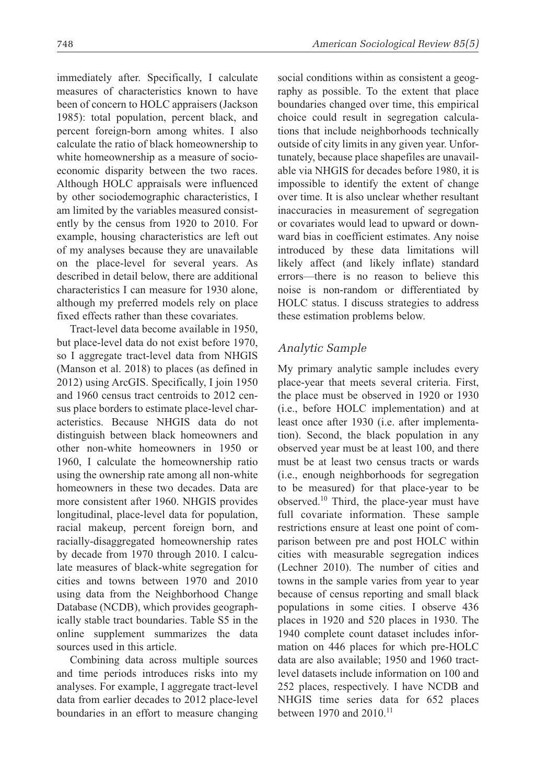immediately after. Specifically, I calculate measures of characteristics known to have been of concern to HOLC appraisers (Jackson 1985): total population, percent black, and percent foreign-born among whites. I also calculate the ratio of black homeownership to white homeownership as a measure of socioeconomic disparity between the two races. Although HOLC appraisals were influenced by other sociodemographic characteristics, I am limited by the variables measured consistently by the census from 1920 to 2010. For example, housing characteristics are left out of my analyses because they are unavailable on the place-level for several years. As described in detail below, there are additional characteristics I can measure for 1930 alone, although my preferred models rely on place fixed effects rather than these covariates.

Tract-level data become available in 1950, but place-level data do not exist before 1970, so I aggregate tract-level data from NHGIS (Manson et al. 2018) to places (as defined in 2012) using ArcGIS. Specifically, I join 1950 and 1960 census tract centroids to 2012 census place borders to estimate place-level characteristics. Because NHGIS data do not distinguish between black homeowners and other non-white homeowners in 1950 or 1960, I calculate the homeownership ratio using the ownership rate among all non-white homeowners in these two decades. Data are more consistent after 1960. NHGIS provides longitudinal, place-level data for population, racial makeup, percent foreign born, and racially-disaggregated homeownership rates by decade from 1970 through 2010. I calculate measures of black-white segregation for cities and towns between 1970 and 2010 using data from the Neighborhood Change Database (NCDB), which provides geographically stable tract boundaries. Table S5 in the online supplement summarizes the data sources used in this article.

Combining data across multiple sources and time periods introduces risks into my analyses. For example, I aggregate tract-level data from earlier decades to 2012 place-level boundaries in an effort to measure changing social conditions within as consistent a geography as possible. To the extent that place boundaries changed over time, this empirical choice could result in segregation calculations that include neighborhoods technically outside of city limits in any given year. Unfortunately, because place shapefiles are unavailable via NHGIS for decades before 1980, it is impossible to identify the extent of change over time. It is also unclear whether resultant inaccuracies in measurement of segregation or covariates would lead to upward or downward bias in coefficient estimates. Any noise introduced by these data limitations will likely affect (and likely inflate) standard errors—there is no reason to believe this noise is non-random or differentiated by HOLC status. I discuss strategies to address these estimation problems below.

# *Analytic Sample*

My primary analytic sample includes every place-year that meets several criteria. First, the place must be observed in 1920 or 1930 (i.e., before HOLC implementation) and at least once after 1930 (i.e. after implementation). Second, the black population in any observed year must be at least 100, and there must be at least two census tracts or wards (i.e., enough neighborhoods for segregation to be measured) for that place-year to be observed.10 Third, the place-year must have full covariate information. These sample restrictions ensure at least one point of comparison between pre and post HOLC within cities with measurable segregation indices (Lechner 2010). The number of cities and towns in the sample varies from year to year because of census reporting and small black populations in some cities. I observe 436 places in 1920 and 520 places in 1930. The 1940 complete count dataset includes information on 446 places for which pre-HOLC data are also available; 1950 and 1960 tractlevel datasets include information on 100 and 252 places, respectively. I have NCDB and NHGIS time series data for 652 places between 1970 and 2010.<sup>11</sup>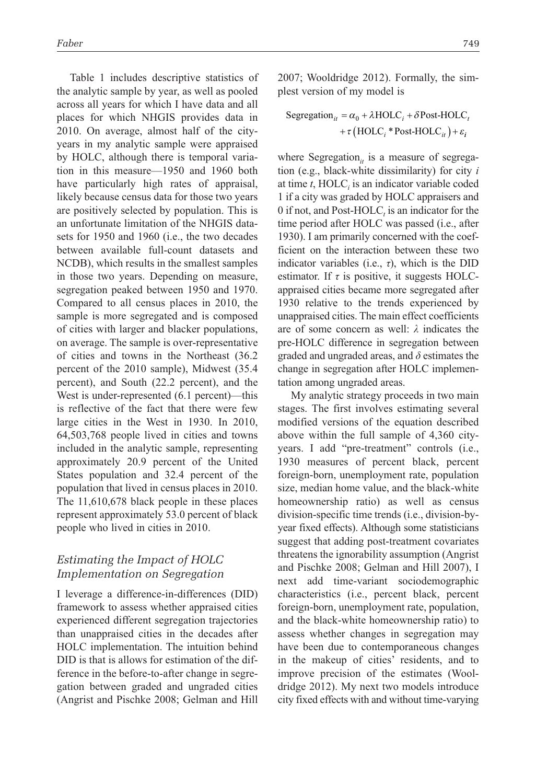Table 1 includes descriptive statistics of the analytic sample by year, as well as pooled across all years for which I have data and all places for which NHGIS provides data in 2010. On average, almost half of the cityyears in my analytic sample were appraised by HOLC, although there is temporal variation in this measure—1950 and 1960 both have particularly high rates of appraisal, likely because census data for those two years are positively selected by population. This is an unfortunate limitation of the NHGIS datasets for 1950 and 1960 (i.e., the two decades between available full-count datasets and NCDB), which results in the smallest samples in those two years. Depending on measure, segregation peaked between 1950 and 1970. Compared to all census places in 2010, the sample is more segregated and is composed of cities with larger and blacker populations, on average. The sample is over-representative of cities and towns in the Northeast (36.2 percent of the 2010 sample), Midwest (35.4 percent), and South (22.2 percent), and the West is under-represented (6.1 percent)—this is reflective of the fact that there were few large cities in the West in 1930. In 2010, 64,503,768 people lived in cities and towns included in the analytic sample, representing approximately 20.9 percent of the United States population and 32.4 percent of the population that lived in census places in 2010. The 11,610,678 black people in these places represent approximately 53.0 percent of black people who lived in cities in 2010.

### *Estimating the Impact of HOLC Implementation on Segregation*

I leverage a difference-in-differences (DID) framework to assess whether appraised cities experienced different segregation trajectories than unappraised cities in the decades after HOLC implementation. The intuition behind DID is that is allows for estimation of the difference in the before-to-after change in segregation between graded and ungraded cities (Angrist and Pischke 2008; Gelman and Hill

2007; Wooldridge 2012). Formally, the simplest version of my model is

$$
Segregation_{it} = \alpha_0 + \lambda \text{HOLC}_i + \delta \text{Post-HOLC}_t
$$

$$
+ \tau \left( \text{HOLC}_i * \text{Post-HOLC}_{it} \right) + \varepsilon_i
$$

where Segregation<sub>*it*</sub> is a measure of segregation (e.g., black-white dissimilarity) for city *i* at time  $t$ ,  $HOLC<sub>i</sub>$  is an indicator variable coded 1 if a city was graded by HOLC appraisers and 0 if not, and Post-HOLC<sub>t</sub> is an indicator for the time period after HOLC was passed (i.e., after 1930). I am primarily concerned with the coefficient on the interaction between these two indicator variables (i.e., *τ*), which is the DID estimator. If *τ* is positive, it suggests HOLCappraised cities became more segregated after 1930 relative to the trends experienced by unappraised cities. The main effect coefficients are of some concern as well: *λ* indicates the pre-HOLC difference in segregation between graded and ungraded areas, and *δ* estimates the change in segregation after HOLC implementation among ungraded areas.

My analytic strategy proceeds in two main stages. The first involves estimating several modified versions of the equation described above within the full sample of 4,360 cityyears. I add "pre-treatment" controls (i.e., 1930 measures of percent black, percent foreign-born, unemployment rate, population size, median home value, and the black-white homeownership ratio) as well as census division-specific time trends (i.e., division-byyear fixed effects). Although some statisticians suggest that adding post-treatment covariates threatens the ignorability assumption (Angrist and Pischke 2008; Gelman and Hill 2007), I next add time-variant sociodemographic characteristics (i.e., percent black, percent foreign-born, unemployment rate, population, and the black-white homeownership ratio) to assess whether changes in segregation may have been due to contemporaneous changes in the makeup of cities' residents, and to improve precision of the estimates (Wooldridge 2012). My next two models introduce city fixed effects with and without time-varying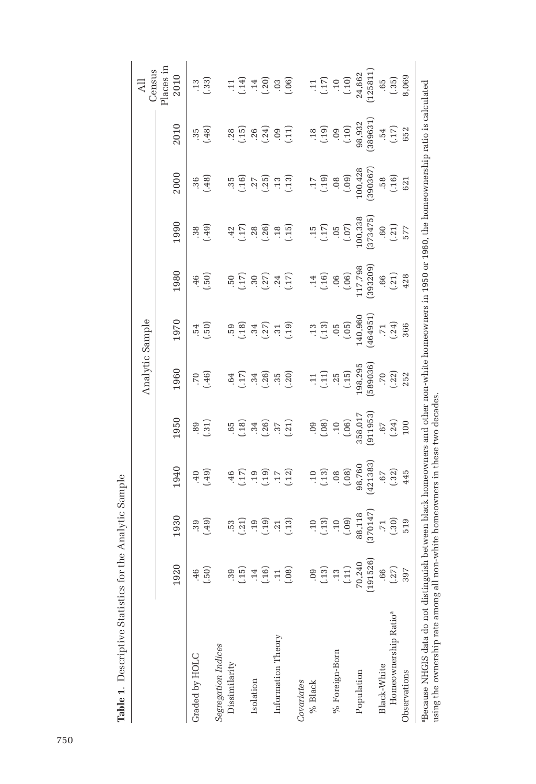|                                                                                                                                                                                                                                        |                   |                   |                           |                                         | Analytic Sample               |                                          |                      |                      |                                                   |                                     | Census<br>Ę                                         |
|----------------------------------------------------------------------------------------------------------------------------------------------------------------------------------------------------------------------------------------|-------------------|-------------------|---------------------------|-----------------------------------------|-------------------------------|------------------------------------------|----------------------|----------------------|---------------------------------------------------|-------------------------------------|-----------------------------------------------------|
|                                                                                                                                                                                                                                        | 1920              | 1930              | 1940                      | 1950                                    | 1960                          | 1970                                     | 1980                 | 1990                 | 2000                                              | 2010                                | Places in<br>2010                                   |
| Graded by HOLC                                                                                                                                                                                                                         | (.50)<br>.46      | (65)<br>39        | (.49)<br>$-40$            | $\left( 31\right)$<br>$^{89}$           | (46)<br>$\ddot{\sim}$         | $\left(0.5\right)$<br>.54                | $\left($ .50)<br>.46 | (64)<br>38           | (.48)<br>.36                                      | (.48)<br>35                         | (.33)<br>.13                                        |
| Segregation Indices                                                                                                                                                                                                                    |                   |                   |                           |                                         |                               |                                          |                      |                      |                                                   |                                     |                                                     |
| Dissimilarity                                                                                                                                                                                                                          | $\ddot{39}$       | .53               | $-46$                     |                                         |                               |                                          |                      |                      |                                                   | .28                                 |                                                     |
|                                                                                                                                                                                                                                        | (.15)             | (.21)             | (17)                      | (36)                                    | (17)                          | $\begin{array}{c} 59 \\ -18 \end{array}$ | (17)                 | $\frac{42}{17}$      | $\frac{35}{(16)}$                                 | (15)                                | $11$<br>$(14)$<br>$(20)$<br>$(06)$                  |
| Isolation                                                                                                                                                                                                                              |                   | .19               | .19                       | .34                                     | .34                           | .34                                      | $\ddot{3}0$          | .28                  |                                                   | .26                                 |                                                     |
|                                                                                                                                                                                                                                        | $\frac{14}{(16)}$ | (01.1)            | (.19)                     | (.26)                                   | $\left( \frac{26}{2} \right)$ | (.27)                                    | (.27)                | (.26)                | (25)                                              | (.24)                               |                                                     |
| Information Theory                                                                                                                                                                                                                     |                   |                   | $\cdot\hspace{-0.75mm}$ . | (37)                                    | $\frac{35}{20}$               | (.19)                                    |                      | .18                  |                                                   |                                     |                                                     |
|                                                                                                                                                                                                                                        | $\frac{11}{108}$  | $\frac{21}{(13)}$ | (.12)                     |                                         |                               |                                          | $\frac{.24}{(.17)}$  | (.15)                | $\frac{13}{(13)}$                                 | (11)                                |                                                     |
| Covariates                                                                                                                                                                                                                             |                   |                   |                           |                                         |                               |                                          |                      |                      |                                                   |                                     |                                                     |
| % Black                                                                                                                                                                                                                                | 09                |                   | $\overline{0}$            | 09                                      | $\overline{11}$               | .13                                      | .14                  |                      |                                                   | .18                                 |                                                     |
|                                                                                                                                                                                                                                        | (.13)             | (13)              | (.13)                     | (.08)                                   | (11)                          | (.13)                                    | (.16)                | $(15)15$<br>$(17)15$ | (61.)                                             | (.19)                               | $\begin{array}{c} 11 \\ 17 \\ 19 \\ 11 \end{array}$ |
| % Foreign-Born                                                                                                                                                                                                                         | .13               |                   | .08                       |                                         |                               | 05                                       |                      |                      |                                                   | <b>90.</b>                          |                                                     |
|                                                                                                                                                                                                                                        | $(11)$            | (60)              | (.08)                     | $\begin{array}{c} 10 \\ 06 \end{array}$ | (15)                          | $\left(05\right)$                        | (90)                 |                      | $\left(\begin{matrix} 60 \ 0 \end{matrix}\right)$ | $(01.)$                             |                                                     |
| Population                                                                                                                                                                                                                             | 70,240            | 88,118            | 98,760                    | 358,017                                 | 198,295                       | 140,960                                  | 117,798              | 100,338              | 100,428                                           | 98,932                              | 24,662                                              |
|                                                                                                                                                                                                                                        | (191526)          | 370147            | 421383                    | 911953                                  | 589036                        | 464951                                   | 393209               | 373475               | 390367                                            | 389631                              | 125811                                              |
| Black-White                                                                                                                                                                                                                            | .66               | .71               | 59.                       | .67                                     | <b>P.</b>                     | .71                                      |                      |                      |                                                   | .54                                 | .65                                                 |
| Homeownership Ratio <sup>ª</sup>                                                                                                                                                                                                       | (.27)             | (.30)             | (.32)                     | (.24)                                   | (22)                          | (.24)                                    | (56)                 | $\frac{60}{(21)}$    | (16)                                              | $\begin{bmatrix} .17 \end{bmatrix}$ | (.35)                                               |
| Observations                                                                                                                                                                                                                           | 397               | 519               | 445                       | 100                                     | 252                           | 366                                      | 428                  | 577                  | 621                                               | 652                                 | 8,069                                               |
| "Because NHCIS data do not distinguish between black homeowners and other non-white homeowners in 1950 or 1960, the homeownership ratio is calculated<br>using the ownership rate among all non-white homeowners in these two decades. |                   |                   |                           |                                         |                               |                                          |                      |                      |                                                   |                                     |                                                     |

Table 1. Descriptive Statistics for the Analytic Sample **Table 1**. Descriptive Statistics for the Analytic Sample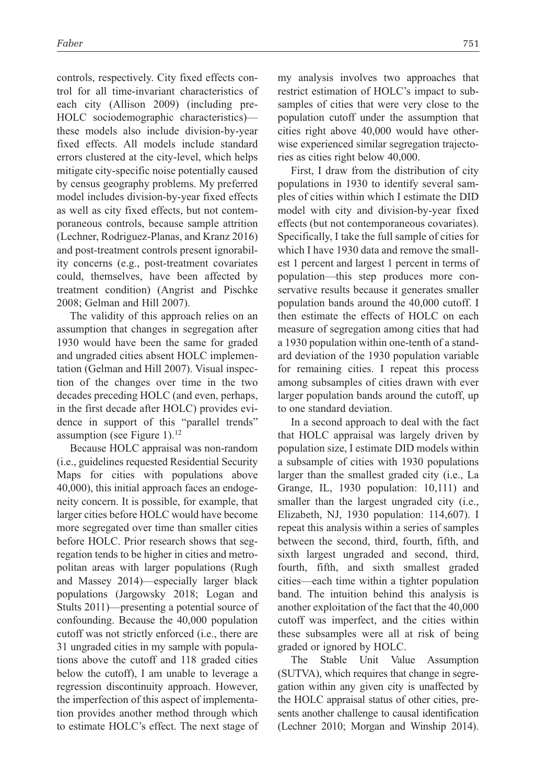controls, respectively. City fixed effects control for all time-invariant characteristics of each city (Allison 2009) (including pre-HOLC sociodemographic characteristics) these models also include division-by-year fixed effects. All models include standard errors clustered at the city-level, which helps mitigate city-specific noise potentially caused by census geography problems. My preferred model includes division-by-year fixed effects as well as city fixed effects, but not contemporaneous controls, because sample attrition (Lechner, Rodriguez-Planas, and Kranz 2016) and post-treatment controls present ignorability concerns (e.g., post-treatment covariates could, themselves, have been affected by treatment condition) (Angrist and Pischke 2008; Gelman and Hill 2007).

The validity of this approach relies on an assumption that changes in segregation after 1930 would have been the same for graded and ungraded cities absent HOLC implementation (Gelman and Hill 2007). Visual inspection of the changes over time in the two decades preceding HOLC (and even, perhaps, in the first decade after HOLC) provides evidence in support of this "parallel trends" assumption (see Figure 1).<sup>12</sup>

Because HOLC appraisal was non-random (i.e., guidelines requested Residential Security Maps for cities with populations above 40,000), this initial approach faces an endogeneity concern. It is possible, for example, that larger cities before HOLC would have become more segregated over time than smaller cities before HOLC. Prior research shows that segregation tends to be higher in cities and metropolitan areas with larger populations (Rugh and Massey 2014)—especially larger black populations (Jargowsky 2018; Logan and Stults 2011)—presenting a potential source of confounding. Because the 40,000 population cutoff was not strictly enforced (i.e., there are 31 ungraded cities in my sample with populations above the cutoff and 118 graded cities below the cutoff), I am unable to leverage a regression discontinuity approach. However, the imperfection of this aspect of implementation provides another method through which to estimate HOLC's effect. The next stage of my analysis involves two approaches that restrict estimation of HOLC's impact to subsamples of cities that were very close to the population cutoff under the assumption that cities right above 40,000 would have otherwise experienced similar segregation trajectories as cities right below 40,000.

First, I draw from the distribution of city populations in 1930 to identify several samples of cities within which I estimate the DID model with city and division-by-year fixed effects (but not contemporaneous covariates). Specifically, I take the full sample of cities for which I have 1930 data and remove the smallest 1 percent and largest 1 percent in terms of population—this step produces more conservative results because it generates smaller population bands around the 40,000 cutoff. I then estimate the effects of HOLC on each measure of segregation among cities that had a 1930 population within one-tenth of a standard deviation of the 1930 population variable for remaining cities. I repeat this process among subsamples of cities drawn with ever larger population bands around the cutoff, up to one standard deviation.

In a second approach to deal with the fact that HOLC appraisal was largely driven by population size, I estimate DID models within a subsample of cities with 1930 populations larger than the smallest graded city (i.e., La Grange, IL, 1930 population: 10,111) and smaller than the largest ungraded city (i.e., Elizabeth, NJ, 1930 population: 114,607). I repeat this analysis within a series of samples between the second, third, fourth, fifth, and sixth largest ungraded and second, third, fourth, fifth, and sixth smallest graded cities—each time within a tighter population band. The intuition behind this analysis is another exploitation of the fact that the 40,000 cutoff was imperfect, and the cities within these subsamples were all at risk of being graded or ignored by HOLC.

The Stable Unit Value Assumption (SUTVA), which requires that change in segregation within any given city is unaffected by the HOLC appraisal status of other cities, presents another challenge to causal identification (Lechner 2010; Morgan and Winship 2014).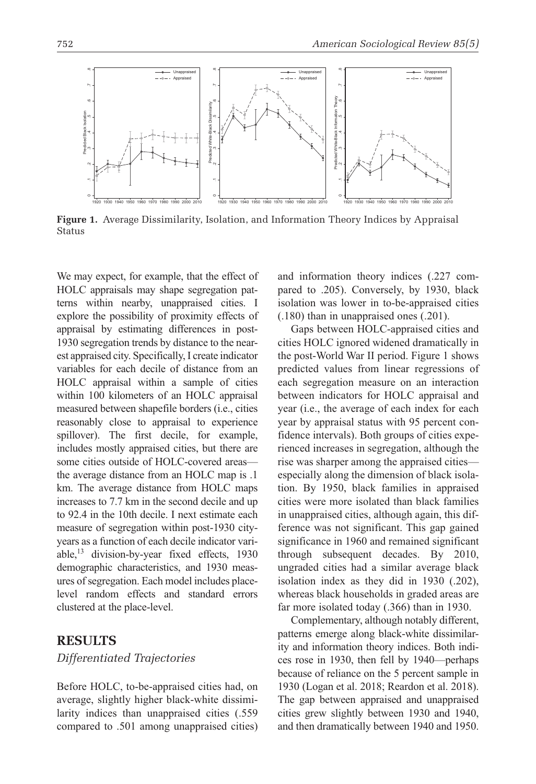

**Figure 1.** Average Dissimilarity, Isolation, and Information Theory Indices by Appraisal Status

We may expect, for example, that the effect of HOLC appraisals may shape segregation patterns within nearby, unappraised cities. I explore the possibility of proximity effects of appraisal by estimating differences in post-1930 segregation trends by distance to the nearest appraised city. Specifically, I create indicator variables for each decile of distance from an HOLC appraisal within a sample of cities within 100 kilometers of an HOLC appraisal measured between shapefile borders (i.e., cities reasonably close to appraisal to experience spillover). The first decile, for example, includes mostly appraised cities, but there are some cities outside of HOLC-covered areas the average distance from an HOLC map is .1 km. The average distance from HOLC maps increases to 7.7 km in the second decile and up to 92.4 in the 10th decile. I next estimate each measure of segregation within post-1930 cityyears as a function of each decile indicator variable,<sup>13</sup> division-by-year fixed effects, 1930 demographic characteristics, and 1930 measures of segregation. Each model includes placelevel random effects and standard errors clustered at the place-level.

### **Results**

#### *Differentiated Trajectories*

Before HOLC, to-be-appraised cities had, on average, slightly higher black-white dissimilarity indices than unappraised cities (.559 compared to .501 among unappraised cities) and information theory indices (.227 compared to .205). Conversely, by 1930, black isolation was lower in to-be-appraised cities (.180) than in unappraised ones (.201).

Gaps between HOLC-appraised cities and cities HOLC ignored widened dramatically in the post-World War II period. Figure 1 shows predicted values from linear regressions of each segregation measure on an interaction between indicators for HOLC appraisal and year (i.e., the average of each index for each year by appraisal status with 95 percent confidence intervals). Both groups of cities experienced increases in segregation, although the rise was sharper among the appraised cities especially along the dimension of black isolation. By 1950, black families in appraised cities were more isolated than black families in unappraised cities, although again, this difference was not significant. This gap gained significance in 1960 and remained significant through subsequent decades. By 2010, ungraded cities had a similar average black isolation index as they did in 1930 (.202), whereas black households in graded areas are far more isolated today (.366) than in 1930.

Complementary, although notably different, patterns emerge along black-white dissimilarity and information theory indices. Both indices rose in 1930, then fell by 1940—perhaps because of reliance on the 5 percent sample in 1930 (Logan et al. 2018; Reardon et al. 2018). The gap between appraised and unappraised cities grew slightly between 1930 and 1940, and then dramatically between 1940 and 1950.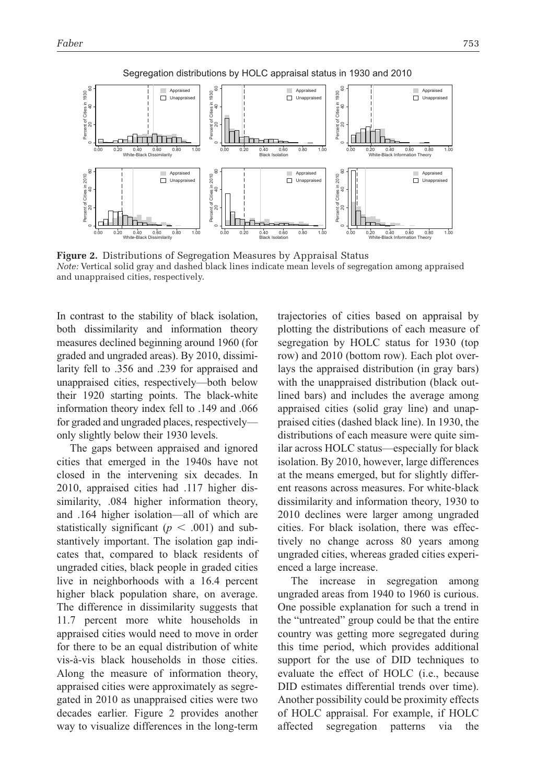



**Figure 2.** Distributions of Segregation Measures by Appraisal Status *Note:* Vertical solid gray and dashed black lines indicate mean levels of segregation among appraised and unappraised cities, respectively.

In contrast to the stability of black isolation, both dissimilarity and information theory measures declined beginning around 1960 (for graded and ungraded areas). By 2010, dissimilarity fell to .356 and .239 for appraised and unappraised cities, respectively—both below their 1920 starting points. The black-white information theory index fell to .149 and .066 for graded and ungraded places, respectively only slightly below their 1930 levels.

The gaps between appraised and ignored cities that emerged in the 1940s have not closed in the intervening six decades. In 2010, appraised cities had .117 higher dissimilarity, .084 higher information theory, and .164 higher isolation—all of which are statistically significant ( $p < .001$ ) and substantively important. The isolation gap indicates that, compared to black residents of ungraded cities, black people in graded cities live in neighborhoods with a 16.4 percent higher black population share, on average. The difference in dissimilarity suggests that 11.7 percent more white households in appraised cities would need to move in order for there to be an equal distribution of white vis-à-vis black households in those cities. Along the measure of information theory, appraised cities were approximately as segregated in 2010 as unappraised cities were two decades earlier. Figure 2 provides another way to visualize differences in the long-term trajectories of cities based on appraisal by plotting the distributions of each measure of segregation by HOLC status for 1930 (top row) and 2010 (bottom row). Each plot overlays the appraised distribution (in gray bars) with the unappraised distribution (black outlined bars) and includes the average among appraised cities (solid gray line) and unappraised cities (dashed black line). In 1930, the distributions of each measure were quite similar across HOLC status—especially for black isolation. By 2010, however, large differences at the means emerged, but for slightly different reasons across measures. For white-black dissimilarity and information theory, 1930 to 2010 declines were larger among ungraded cities. For black isolation, there was effectively no change across 80 years among ungraded cities, whereas graded cities experienced a large increase.

The increase in segregation among ungraded areas from 1940 to 1960 is curious. One possible explanation for such a trend in the "untreated" group could be that the entire country was getting more segregated during this time period, which provides additional support for the use of DID techniques to evaluate the effect of HOLC (i.e., because DID estimates differential trends over time). Another possibility could be proximity effects of HOLC appraisal. For example, if HOLC affected segregation patterns via the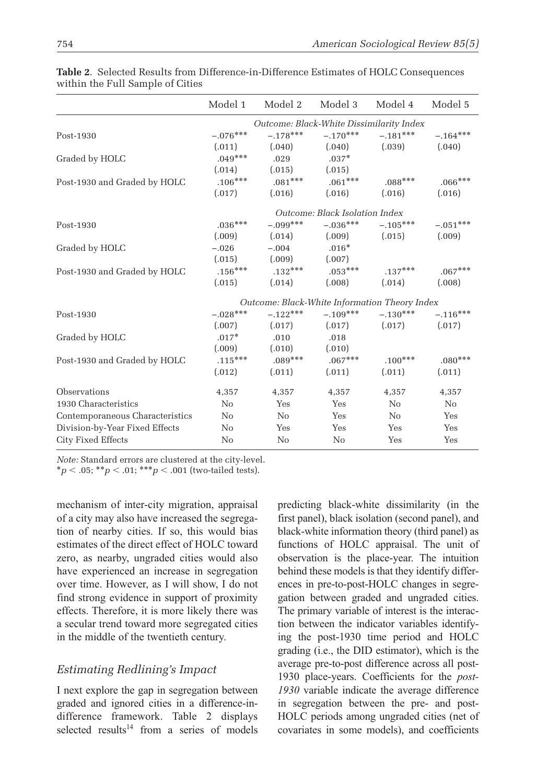|                                 | Model 1    | Model 2                                       | Model 3                        | Model 4    | Model 5    |
|---------------------------------|------------|-----------------------------------------------|--------------------------------|------------|------------|
|                                 |            | Outcome: Black-White Dissimilarity Index      |                                |            |            |
| Post-1930                       | $-.076***$ | $-.178***$                                    | $-.170***$                     | $-.181***$ | $-.164***$ |
|                                 | (.011)     | (.040)                                        | (.040)                         | (.039)     | (.040)     |
| Graded by HOLC                  | $.049***$  | .029                                          | $.037*$                        |            |            |
|                                 | (.014)     | (.015)                                        | (.015)                         |            |            |
| Post-1930 and Graded by HOLC    | $.106***$  | $.081***$                                     | $.061***$                      | $.088***$  | $.066***$  |
|                                 | (.017)     | (.016)                                        | (.016)                         | (.016)     | (.016)     |
|                                 |            |                                               | Outcome: Black Isolation Index |            |            |
| Post-1930                       | $.036***$  | $-.099***$                                    | $-.036***$                     | $-.105***$ | $-.051***$ |
|                                 | (.009)     | (.014)                                        | (.009)                         | (.015)     | (.009)     |
| Graded by HOLC                  | $-.026$    | $-.004$                                       | $.016*$                        |            |            |
|                                 | (.015)     | (.009)                                        | (.007)                         |            |            |
| Post-1930 and Graded by HOLC    | $.156***$  | $.132***$                                     | $.053***$                      | $.137***$  | $.067***$  |
|                                 | (.015)     | (.014)                                        | (.008)                         | (.014)     | (.008)     |
|                                 |            | Outcome: Black-White Information Theory Index |                                |            |            |
| Post-1930                       | $-.028***$ | $-.122***$                                    | $-.109***$                     | $-.130***$ | $-.116***$ |
|                                 | (.007)     | (.017)                                        | (.017)                         | (.017)     | (.017)     |
| Graded by HOLC                  | $.017*$    | .010                                          | .018                           |            |            |
|                                 | (.009)     | (.010)                                        | (.010)                         |            |            |
| Post-1930 and Graded by HOLC    | $.115***$  | $.089***$                                     | $.067***$                      | $.100***$  | $.080***$  |
|                                 | (.012)     | (.011)                                        | (.011)                         | (.011)     | (.011)     |
| Observations                    | 4,357      | 4,357                                         | 4,357                          | 4,357      | 4,357      |
| 1930 Characteristics            | No         | Yes                                           | Yes                            | $\rm No$   | $\rm No$   |
| Contemporaneous Characteristics | No         | No                                            | Yes                            | No         | Yes        |
| Division-by-Year Fixed Effects  | No         | Yes                                           | Yes                            | Yes        | Yes        |
| City Fixed Effects              | No         | No                                            | No                             | Yes        | Yes        |

**Table 2**. Selected Results from Difference-in-Difference Estimates of HOLC Consequences within the Full Sample of Cities

*Note:* Standard errors are clustered at the city-level.  ${}^*p$  < .05;  ${}^{**}p$  < .01;  ${}^{***}p$  < .001 (two-tailed tests).

mechanism of inter-city migration, appraisal of a city may also have increased the segregation of nearby cities. If so, this would bias estimates of the direct effect of HOLC toward zero, as nearby, ungraded cities would also have experienced an increase in segregation over time. However, as I will show, I do not find strong evidence in support of proximity effects. Therefore, it is more likely there was a secular trend toward more segregated cities in the middle of the twentieth century.

# *Estimating Redlining's Impact*

I next explore the gap in segregation between graded and ignored cities in a difference-indifference framework. Table 2 displays selected results<sup>14</sup> from a series of models predicting black-white dissimilarity (in the first panel), black isolation (second panel), and black-white information theory (third panel) as functions of HOLC appraisal. The unit of observation is the place-year. The intuition behind these models is that they identify differences in pre-to-post-HOLC changes in segregation between graded and ungraded cities. The primary variable of interest is the interaction between the indicator variables identifying the post-1930 time period and HOLC grading (i.e., the DID estimator), which is the average pre-to-post difference across all post-1930 place-years. Coefficients for the *post-1930* variable indicate the average difference in segregation between the pre- and post-HOLC periods among ungraded cities (net of covariates in some models), and coefficients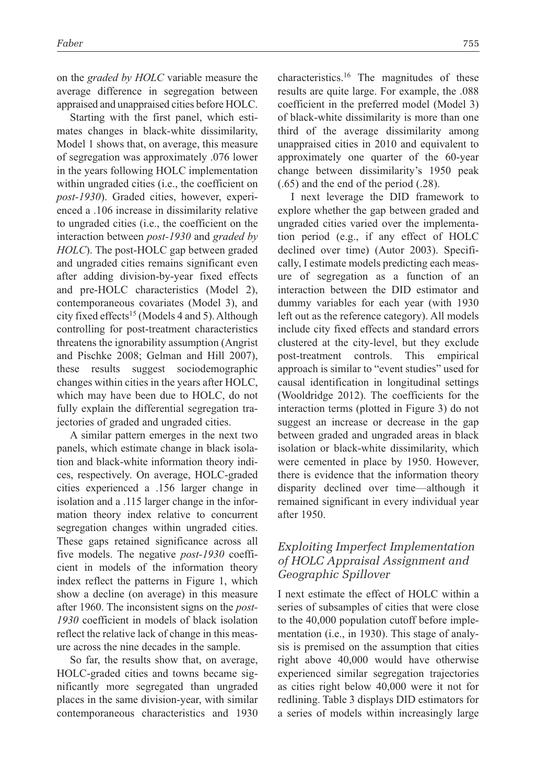on the *graded by HOLC* variable measure the average difference in segregation between appraised and unappraised cities before HOLC.

Starting with the first panel, which estimates changes in black-white dissimilarity, Model 1 shows that, on average, this measure of segregation was approximately .076 lower in the years following HOLC implementation within ungraded cities (i.e., the coefficient on *post-1930*). Graded cities, however, experienced a .106 increase in dissimilarity relative to ungraded cities (i.e., the coefficient on the interaction between *post-1930* and *graded by HOLC*). The post-HOLC gap between graded and ungraded cities remains significant even after adding division-by-year fixed effects and pre-HOLC characteristics (Model 2), contemporaneous covariates (Model 3), and city fixed effects<sup>15</sup> (Models 4 and 5). Although controlling for post-treatment characteristics threatens the ignorability assumption (Angrist and Pischke 2008; Gelman and Hill 2007), these results suggest sociodemographic changes within cities in the years after HOLC, which may have been due to HOLC, do not fully explain the differential segregation trajectories of graded and ungraded cities.

A similar pattern emerges in the next two panels, which estimate change in black isolation and black-white information theory indices, respectively. On average, HOLC-graded cities experienced a .156 larger change in isolation and a .115 larger change in the information theory index relative to concurrent segregation changes within ungraded cities. These gaps retained significance across all five models. The negative *post-1930* coefficient in models of the information theory index reflect the patterns in Figure 1, which show a decline (on average) in this measure after 1960. The inconsistent signs on the *post-1930* coefficient in models of black isolation reflect the relative lack of change in this measure across the nine decades in the sample.

So far, the results show that, on average, HOLC-graded cities and towns became significantly more segregated than ungraded places in the same division-year, with similar contemporaneous characteristics and 1930 characteristics.16 The magnitudes of these results are quite large. For example, the .088 coefficient in the preferred model (Model 3) of black-white dissimilarity is more than one third of the average dissimilarity among unappraised cities in 2010 and equivalent to approximately one quarter of the 60-year change between dissimilarity's 1950 peak (.65) and the end of the period (.28).

I next leverage the DID framework to explore whether the gap between graded and ungraded cities varied over the implementation period (e.g., if any effect of HOLC declined over time) (Autor 2003). Specifically, I estimate models predicting each measure of segregation as a function of an interaction between the DID estimator and dummy variables for each year (with 1930 left out as the reference category). All models include city fixed effects and standard errors clustered at the city-level, but they exclude post-treatment controls. This empirical approach is similar to "event studies" used for causal identification in longitudinal settings (Wooldridge 2012). The coefficients for the interaction terms (plotted in Figure 3) do not suggest an increase or decrease in the gap between graded and ungraded areas in black isolation or black-white dissimilarity, which were cemented in place by 1950. However, there is evidence that the information theory disparity declined over time—although it remained significant in every individual year after 1950.

### *Exploiting Imperfect Implementation of HOLC Appraisal Assignment and Geographic Spillover*

I next estimate the effect of HOLC within a series of subsamples of cities that were close to the 40,000 population cutoff before implementation (i.e., in 1930). This stage of analysis is premised on the assumption that cities right above 40,000 would have otherwise experienced similar segregation trajectories as cities right below 40,000 were it not for redlining. Table 3 displays DID estimators for a series of models within increasingly large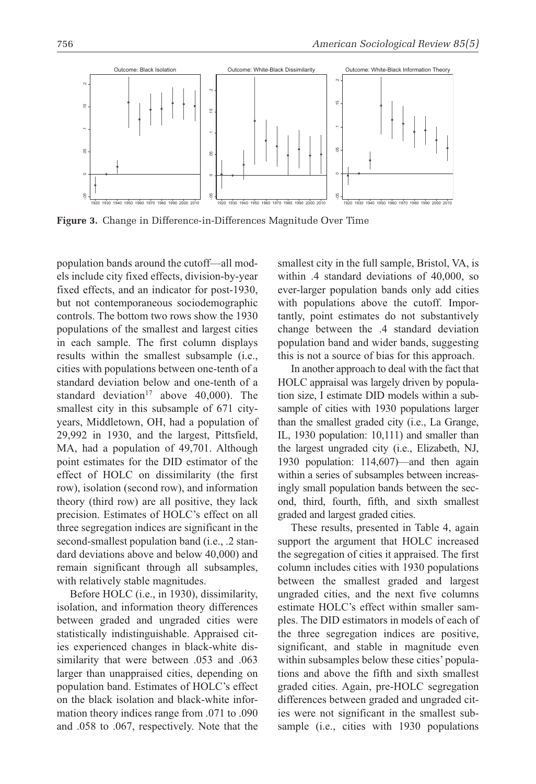

**Figure 3.** Change in Difference-in-Differences Magnitude Over Time

population bands around the cutoff—all models include city fixed effects, division-by-year fixed effects, and an indicator for post-1930, but not contemporaneous sociodemographic controls. The bottom two rows show the 1930 populations of the smallest and largest cities in each sample. The first column displays results within the smallest subsample (i.e., cities with populations between one-tenth of a standard deviation below and one-tenth of a standard deviation<sup>17</sup> above 40,000). The smallest city in this subsample of 671 cityyears, Middletown, OH, had a population of 29,992 in 1930, and the largest, Pittsfield, MA, had a population of 49,701. Although point estimates for the DID estimator of the effect of HOLC on dissimilarity (the first row), isolation (second row), and information theory (third row) are all positive, they lack precision. Estimates of HOLC's effect on all three segregation indices are significant in the second-smallest population band (i.e., .2 standard deviations above and below 40,000) and remain significant through all subsamples, with relatively stable magnitudes.

Before HOLC (i.e., in 1930), dissimilarity, isolation, and information theory differences between graded and ungraded cities were statistically indistinguishable. Appraised cities experienced changes in black-white dissimilarity that were between .053 and .063 larger than unappraised cities, depending on population band. Estimates of HOLC's effect on the black isolation and black-white information theory indices range from .071 to .090 and .058 to .067, respectively. Note that the smallest city in the full sample, Bristol, VA, is within .4 standard deviations of 40,000, so ever-larger population bands only add cities with populations above the cutoff. Importantly, point estimates do not substantively change between the .4 standard deviation population band and wider bands, suggesting this is not a source of bias for this approach.

In another approach to deal with the fact that HOLC appraisal was largely driven by population size, I estimate DID models within a subsample of cities with 1930 populations larger than the smallest graded city (i.e., La Grange, IL, 1930 population: 10,111) and smaller than the largest ungraded city (i.e., Elizabeth, NJ, 1930 population: 114,607)—and then again within a series of subsamples between increasingly small population bands between the second, third, fourth, fifth, and sixth smallest graded and largest graded cities.

These results, presented in Table 4, again support the argument that HOLC increased the segregation of cities it appraised. The first column includes cities with 1930 populations between the smallest graded and largest ungraded cities, and the next five columns estimate HOLC's effect within smaller samples. The DID estimators in models of each of the three segregation indices are positive, significant, and stable in magnitude even within subsamples below these cities' populations and above the fifth and sixth smallest graded cities. Again, pre-HOLC segregation differences between graded and ungraded cities were not significant in the smallest subsample (i.e., cities with 1930 populations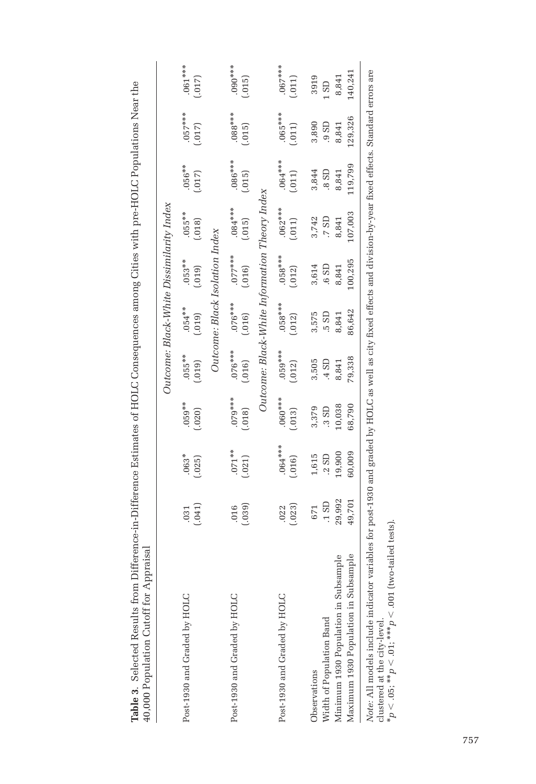| 40,000 Population Cutoff for Appraisal                                                                                                                                                                                                                                                |                |                     |                     |                     |                     |                                | Outcome: Black-White Dissimilarity Index      |                      |                     |                       |
|---------------------------------------------------------------------------------------------------------------------------------------------------------------------------------------------------------------------------------------------------------------------------------------|----------------|---------------------|---------------------|---------------------|---------------------|--------------------------------|-----------------------------------------------|----------------------|---------------------|-----------------------|
| Post-1930 and Graded by HOLC                                                                                                                                                                                                                                                          | (.041)<br>.031 | $.063*$<br>(.025)   | $.059***$<br>(.020) | $.055***$<br>(.019) | $.054***$<br>(0.10) | $.053***$<br>(.019)            | $.055***$<br>(.018)                           | $.056***$<br>(.017)  | $.057***$<br>(.017) | $.061***$<br>(.017)   |
|                                                                                                                                                                                                                                                                                       |                |                     |                     |                     |                     | Outcome: Black Isolation Index |                                               |                      |                     |                       |
| Post-1930 and Graded by HOLC                                                                                                                                                                                                                                                          | (.039)<br>016  | $.071***$<br>(.021) | $079***$<br>(.018)  | $076***$<br>(.016)  | $.076***$<br>(.016) | $.077***$<br>(.016)            | $.084***$<br>(.015)                           | $0.086***$<br>(.015) | $.088***$<br>(.015) | $***000***$<br>(.015) |
|                                                                                                                                                                                                                                                                                       |                |                     |                     |                     |                     |                                | Outcome: Black-White Information Theory Index |                      |                     |                       |
| Post-1930 and Graded by HOLC                                                                                                                                                                                                                                                          | (.023)<br>.022 | $.064***$<br>(.016) | $060***$<br>(.013)  | $.059***$<br>(.012) | $.058***$<br>(.012) | $058***$<br>(.012)             | $.062***$<br>(.011)                           | $.064***$<br>(011)   | $.065***$<br>(.011) | $.067***$<br>(.011)   |
| Observations                                                                                                                                                                                                                                                                          | 671            | 1,615               | 3,379               | 3,505               | 3,575               | 3,614                          | 3,742                                         | 3,844                | 3,890               | 3919                  |
| Width of Population Band                                                                                                                                                                                                                                                              | $.1$ SD        | .2 SD               | .3S <sub>D</sub>    | $-4$ SD             | .5 SD               | .6 SD                          | .7S <sub>D</sub>                              | 0.8 <sub>8</sub>     | $.9$ SD             | 1S <sub>D</sub>       |
| Minimum 1930 Population in Subsample                                                                                                                                                                                                                                                  | 29,992         | 19,900              | 10,038              | 8,841               | 8,841               | 8,841                          | 8,841                                         | 8,841                | 8,841               | 8,841                 |
| Maximum 1930 Population in Subsample                                                                                                                                                                                                                                                  | 49,701         | 60,009              | 68,790              | 79,338              | 86,642              | 100,295                        | 107,003                                       | 119,799              | 129,326             | 140,241               |
| N <i>ote:</i> All models include indicator variables for post-1930 and graded by HOLC as well as city fixed effects and division-by-year fixed effects. Standard errors are<br>$*_p$ < .05; $*_p$ < .01; $*_p$ < .01; $*_p$ < .001 (two-tailed tests)<br>clustered at the city-level. |                |                     |                     |                     |                     |                                |                                               |                      |                     |                       |

Table 3 Selected Results from Difference-in-Difference Estimates of HOLC Consequences among Cities with pre-HOLC Populations Near the **Table 3**. Selected Results from Difference-in-Difference Estimates of HOLC Consequences among Cities with pre-HOLC Populations Near the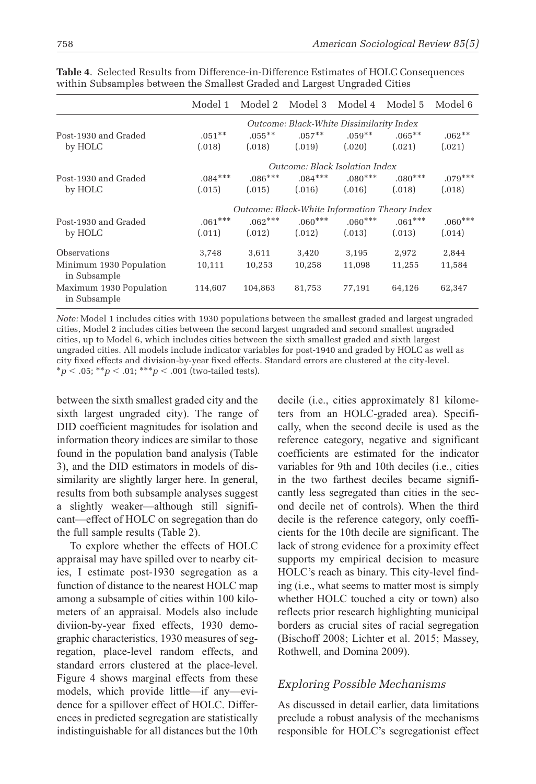|                                         | Model 1   | Model 2 Model 3 Model 4 Model 5               |           |                                          |           | Model 6   |
|-----------------------------------------|-----------|-----------------------------------------------|-----------|------------------------------------------|-----------|-----------|
|                                         |           |                                               |           | Outcome: Black-White Dissimilarity Index |           |           |
| Post-1930 and Graded                    | $.051***$ | $.055***$                                     | $.057***$ | $.059***$                                | $.065***$ | $.062**$  |
| by HOLC                                 | (.018)    | (.018)                                        | (.019)    | (.020)                                   | (.021)    | (.021)    |
|                                         |           |                                               |           | Outcome: Black Isolation Index           |           |           |
| Post-1930 and Graded                    | $.084***$ | $.086***$                                     | $.084***$ | $0.080***$                               | $.080***$ | $.079***$ |
| by HOLC                                 | (.015)    | (.015)                                        | (.016)    | (.016)                                   | (.018)    | (.018)    |
|                                         |           | Outcome: Black-White Information Theory Index |           |                                          |           |           |
| Post-1930 and Graded                    | $.061***$ | $.062***$                                     | $.060***$ | $.060***$                                | $.061***$ | $.060***$ |
| by HOLC                                 | (.011)    | (.012)                                        | (.012)    | (.013)                                   | (.013)    | (.014)    |
| Observations                            | 3,748     | 3,611                                         | 3,420     | 3,195                                    | 2,972     | 2,844     |
| Minimum 1930 Population<br>in Subsample | 10,111    | 10,253                                        | 10,258    | 11,098                                   | 11,255    | 11,584    |
| Maximum 1930 Population<br>in Subsample | 114,607   | 104,863                                       | 81,753    | 77,191                                   | 64,126    | 62,347    |

**Table 4**. Selected Results from Difference-in-Difference Estimates of HOLC Consequences within Subsamples between the Smallest Graded and Largest Ungraded Cities

*Note:* Model 1 includes cities with 1930 populations between the smallest graded and largest ungraded cities, Model 2 includes cities between the second largest ungraded and second smallest ungraded cities, up to Model 6, which includes cities between the sixth smallest graded and sixth largest ungraded cities. All models include indicator variables for post-1940 and graded by HOLC as well as city fixed effects and division-by-year fixed effects. Standard errors are clustered at the city-level. \**p* < .05; \*\**p* < .01; \*\*\**p* < .001 (two-tailed tests).

between the sixth smallest graded city and the sixth largest ungraded city). The range of DID coefficient magnitudes for isolation and information theory indices are similar to those found in the population band analysis (Table 3), and the DID estimators in models of dissimilarity are slightly larger here. In general, results from both subsample analyses suggest a slightly weaker—although still significant—effect of HOLC on segregation than do the full sample results (Table 2).

To explore whether the effects of HOLC appraisal may have spilled over to nearby cities, I estimate post-1930 segregation as a function of distance to the nearest HOLC map among a subsample of cities within 100 kilometers of an appraisal. Models also include diviion-by-year fixed effects, 1930 demographic characteristics, 1930 measures of segregation, place-level random effects, and standard errors clustered at the place-level. Figure 4 shows marginal effects from these models, which provide little—if any—evidence for a spillover effect of HOLC. Differences in predicted segregation are statistically indistinguishable for all distances but the 10th decile (i.e., cities approximately 81 kilometers from an HOLC-graded area). Specifically, when the second decile is used as the reference category, negative and significant coefficients are estimated for the indicator variables for 9th and 10th deciles (i.e., cities in the two farthest deciles became significantly less segregated than cities in the second decile net of controls). When the third decile is the reference category, only coefficients for the 10th decile are significant. The lack of strong evidence for a proximity effect supports my empirical decision to measure HOLC's reach as binary. This city-level finding (i.e., what seems to matter most is simply whether HOLC touched a city or town) also reflects prior research highlighting municipal borders as crucial sites of racial segregation (Bischoff 2008; Lichter et al. 2015; Massey, Rothwell, and Domina 2009).

### *Exploring Possible Mechanisms*

As discussed in detail earlier, data limitations preclude a robust analysis of the mechanisms responsible for HOLC's segregationist effect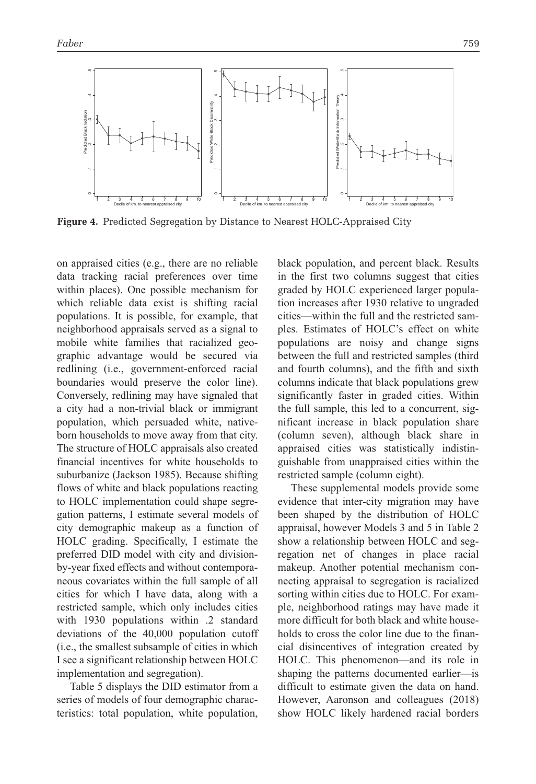

**Figure 4.** Predicted Segregation by Distance to Nearest HOLC-Appraised City

on appraised cities (e.g., there are no reliable data tracking racial preferences over time within places). One possible mechanism for which reliable data exist is shifting racial populations. It is possible, for example, that neighborhood appraisals served as a signal to mobile white families that racialized geographic advantage would be secured via redlining (i.e., government-enforced racial boundaries would preserve the color line). Conversely, redlining may have signaled that a city had a non-trivial black or immigrant population, which persuaded white, nativeborn households to move away from that city. The structure of HOLC appraisals also created financial incentives for white households to suburbanize (Jackson 1985). Because shifting flows of white and black populations reacting to HOLC implementation could shape segregation patterns, I estimate several models of city demographic makeup as a function of HOLC grading. Specifically, I estimate the preferred DID model with city and divisionby-year fixed effects and without contemporaneous covariates within the full sample of all cities for which I have data, along with a restricted sample, which only includes cities with 1930 populations within .2 standard deviations of the 40,000 population cutoff (i.e., the smallest subsample of cities in which I see a significant relationship between HOLC implementation and segregation).

Table 5 displays the DID estimator from a series of models of four demographic characteristics: total population, white population, black population, and percent black. Results in the first two columns suggest that cities graded by HOLC experienced larger population increases after 1930 relative to ungraded cities—within the full and the restricted samples. Estimates of HOLC's effect on white populations are noisy and change signs between the full and restricted samples (third and fourth columns), and the fifth and sixth columns indicate that black populations grew significantly faster in graded cities. Within the full sample, this led to a concurrent, significant increase in black population share (column seven), although black share in appraised cities was statistically indistinguishable from unappraised cities within the restricted sample (column eight).

These supplemental models provide some evidence that inter-city migration may have been shaped by the distribution of HOLC appraisal, however Models 3 and 5 in Table 2 show a relationship between HOLC and segregation net of changes in place racial makeup. Another potential mechanism connecting appraisal to segregation is racialized sorting within cities due to HOLC. For example, neighborhood ratings may have made it more difficult for both black and white households to cross the color line due to the financial disincentives of integration created by HOLC. This phenomenon—and its role in shaping the patterns documented earlier—is difficult to estimate given the data on hand. However, Aaronson and colleagues (2018) show HOLC likely hardened racial borders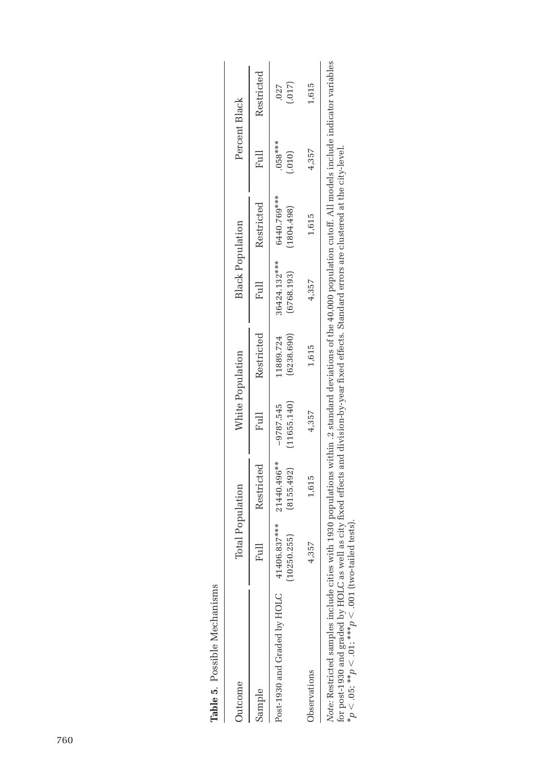| Jutcome                                                                                                                                                             | Total Population |                           | White Population           |                         | <b>Black Population</b>    |                           | Percent Black       |                 |
|---------------------------------------------------------------------------------------------------------------------------------------------------------------------|------------------|---------------------------|----------------------------|-------------------------|----------------------------|---------------------------|---------------------|-----------------|
| sample                                                                                                                                                              | $F_{11}$         | Restricted                |                            | Full Restricted         |                            | Full Restricted           |                     | Full Restricted |
| Post-1930 and Graded by HOLC 41406.837****                                                                                                                          | (10250.255)      | (8155.492)<br>21440.496** | (11655.140)<br>$-9787.545$ | (6238.690)<br>11889.724 | 36424.132***<br>(6768.193) | 6440.769***<br>(1804.498) | $.058***$<br>(.010) | (.017)<br>.027  |
| <b>J</b> bservations                                                                                                                                                | .357             | 1,615                     | 4,357                      | 1,615                   | 4,357                      | 1,615                     | 4,357               | 1,615           |
| Note: Restricted samples include cities with 1930 populations within .2 standard deviations of the 40,000 population cutoff. All models include indicator variables |                  |                           |                            |                         |                            |                           |                     |                 |

**Table 5**. Possible Mechanisms

Table 5. Possible Mechanisms

*Note:* Restricted samples include cities with 1930 populations within .2 standard deviations of the 40,000 population cutoff. All models include indicator variables *Note:* Restricted samples include cities with 1930 populations within .2 standard deviations of the 40,000 population cutoff. All models include<br>for post-1930 and graded by HOLC as well as city fixed effects and division for post-1930 and graded by HOLC as well as city fixed effects and division-by-year fixed effects. Standard errors are clustered at the city-level. \**p* < .05; \*\**p* < .01; \*\*\**p* < .001 (two-tailed tests).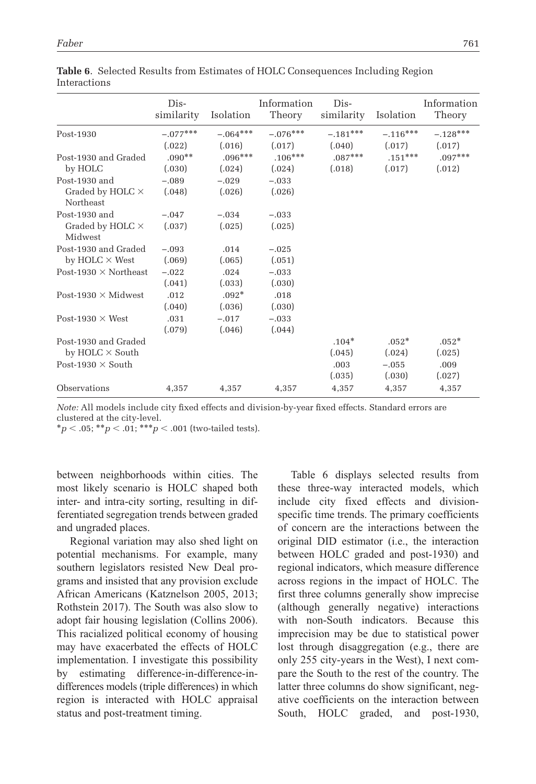|                                                       | Dis-<br>similarity   | Isolation            | Information<br>Theory | Dis-<br>similarity   | Isolation            | Information<br>Theory |
|-------------------------------------------------------|----------------------|----------------------|-----------------------|----------------------|----------------------|-----------------------|
| Post-1930                                             | $-.077***$<br>(.022) | $-.064***$<br>(.016) | $-.076***$<br>(.017)  | $-.181***$<br>(.040) | $-.116***$<br>(.017) | $-.128***$<br>(.017)  |
| Post-1930 and Graded<br>by HOLC                       | $.090**$<br>(.030)   | $.096***$<br>(.024)  | $.106***$<br>(.024)   | $.087***$<br>(.018)  | $.151***$<br>(.017)  | $.097***$<br>(.012)   |
| Post-1930 and<br>Graded by HOLC $\times$<br>Northeast | $-.089$<br>(.048)    | $-.029$<br>(.026)    | $-.033$<br>(.026)     |                      |                      |                       |
| Post-1930 and<br>Graded by HOLC $\times$<br>Midwest   | $-.047$<br>(.037)    | $-.034$<br>(.025)    | $-.033$<br>(.025)     |                      |                      |                       |
| Post-1930 and Graded<br>by $HOLC \times West$         | $-.093$<br>(.069)    | .014<br>(.065)       | $-.025$<br>(.051)     |                      |                      |                       |
| Post-1930 $\times$ Northeast                          | $-.022$<br>(.041)    | .024<br>(.033)       | $-.033$<br>(.030)     |                      |                      |                       |
| Post-1930 $\times$ Midwest                            | .012<br>(.040)       | $.092*$<br>(.036)    | .018<br>(.030)        |                      |                      |                       |
| Post-1930 $\times$ West                               | .031<br>(.079)       | $-.017$<br>(.046)    | $-.033$<br>(.044)     |                      |                      |                       |
| Post-1930 and Graded<br>by HOLC $\times$ South        |                      |                      |                       | $.104*$<br>(.045)    | $.052*$<br>(.024)    | $.052*$<br>(.025)     |
| Post-1930 $\times$ South                              |                      |                      |                       | .003<br>(.035)       | $-.055$<br>(.030)    | .009<br>(.027)        |
| Observations                                          | 4,357                | 4,357                | 4,357                 | 4,357                | 4,357                | 4,357                 |

**Table 6**. Selected Results from Estimates of HOLC Consequences Including Region Interactions

*Note:* All models include city fixed effects and division-by-year fixed effects. Standard errors are clustered at the city-level.

\**p* < .05; \*\**p* < .01; \*\*\**p* < .001 (two-tailed tests).

between neighborhoods within cities. The most likely scenario is HOLC shaped both inter- and intra-city sorting, resulting in differentiated segregation trends between graded and ungraded places.

Regional variation may also shed light on potential mechanisms. For example, many southern legislators resisted New Deal programs and insisted that any provision exclude African Americans (Katznelson 2005, 2013; Rothstein 2017). The South was also slow to adopt fair housing legislation (Collins 2006). This racialized political economy of housing may have exacerbated the effects of HOLC implementation. I investigate this possibility by estimating difference-in-difference-indifferences models (triple differences) in which region is interacted with HOLC appraisal status and post-treatment timing.

Table 6 displays selected results from these three-way interacted models, which include city fixed effects and divisionspecific time trends. The primary coefficients of concern are the interactions between the original DID estimator (i.e., the interaction between HOLC graded and post-1930) and regional indicators, which measure difference across regions in the impact of HOLC. The first three columns generally show imprecise (although generally negative) interactions with non-South indicators. Because this imprecision may be due to statistical power lost through disaggregation (e.g., there are only 255 city-years in the West), I next compare the South to the rest of the country. The latter three columns do show significant, negative coefficients on the interaction between South, HOLC graded, and post-1930,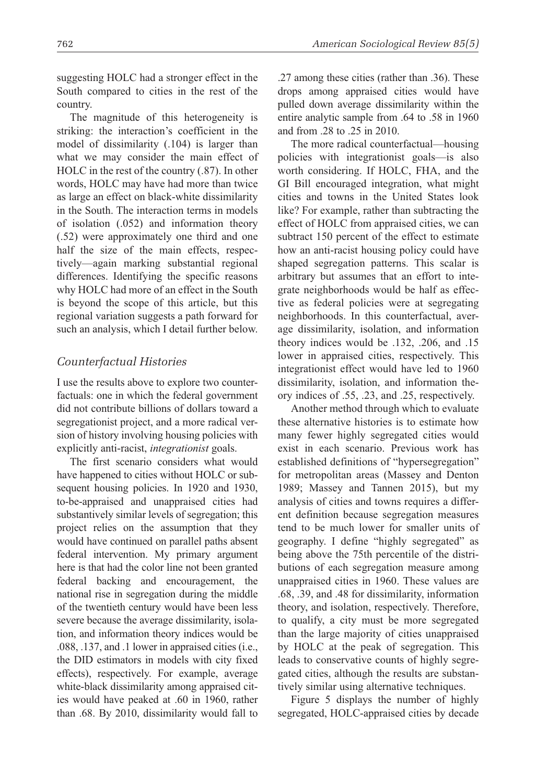suggesting HOLC had a stronger effect in the South compared to cities in the rest of the country.

The magnitude of this heterogeneity is striking: the interaction's coefficient in the model of dissimilarity (.104) is larger than what we may consider the main effect of HOLC in the rest of the country (.87). In other words, HOLC may have had more than twice as large an effect on black-white dissimilarity in the South. The interaction terms in models of isolation (.052) and information theory (.52) were approximately one third and one half the size of the main effects, respectively—again marking substantial regional differences. Identifying the specific reasons why HOLC had more of an effect in the South is beyond the scope of this article, but this regional variation suggests a path forward for such an analysis, which I detail further below.

#### *Counterfactual Histories*

I use the results above to explore two counterfactuals: one in which the federal government did not contribute billions of dollars toward a segregationist project, and a more radical version of history involving housing policies with explicitly anti-racist, *integrationist* goals.

The first scenario considers what would have happened to cities without HOLC or subsequent housing policies. In 1920 and 1930, to-be-appraised and unappraised cities had substantively similar levels of segregation; this project relies on the assumption that they would have continued on parallel paths absent federal intervention. My primary argument here is that had the color line not been granted federal backing and encouragement, the national rise in segregation during the middle of the twentieth century would have been less severe because the average dissimilarity, isolation, and information theory indices would be .088, .137, and .1 lower in appraised cities (i.e., the DID estimators in models with city fixed effects), respectively. For example, average white-black dissimilarity among appraised cities would have peaked at .60 in 1960, rather than .68. By 2010, dissimilarity would fall to .27 among these cities (rather than .36). These drops among appraised cities would have pulled down average dissimilarity within the entire analytic sample from .64 to .58 in 1960 and from .28 to .25 in 2010.

The more radical counterfactual—housing policies with integrationist goals—is also worth considering. If HOLC, FHA, and the GI Bill encouraged integration, what might cities and towns in the United States look like? For example, rather than subtracting the effect of HOLC from appraised cities, we can subtract 150 percent of the effect to estimate how an anti-racist housing policy could have shaped segregation patterns. This scalar is arbitrary but assumes that an effort to integrate neighborhoods would be half as effective as federal policies were at segregating neighborhoods. In this counterfactual, average dissimilarity, isolation, and information theory indices would be .132, .206, and .15 lower in appraised cities, respectively. This integrationist effect would have led to 1960 dissimilarity, isolation, and information theory indices of .55, .23, and .25, respectively.

Another method through which to evaluate these alternative histories is to estimate how many fewer highly segregated cities would exist in each scenario. Previous work has established definitions of "hypersegregation" for metropolitan areas (Massey and Denton 1989; Massey and Tannen 2015), but my analysis of cities and towns requires a different definition because segregation measures tend to be much lower for smaller units of geography. I define "highly segregated" as being above the 75th percentile of the distributions of each segregation measure among unappraised cities in 1960. These values are .68, .39, and .48 for dissimilarity, information theory, and isolation, respectively. Therefore, to qualify, a city must be more segregated than the large majority of cities unappraised by HOLC at the peak of segregation. This leads to conservative counts of highly segregated cities, although the results are substantively similar using alternative techniques.

Figure 5 displays the number of highly segregated, HOLC-appraised cities by decade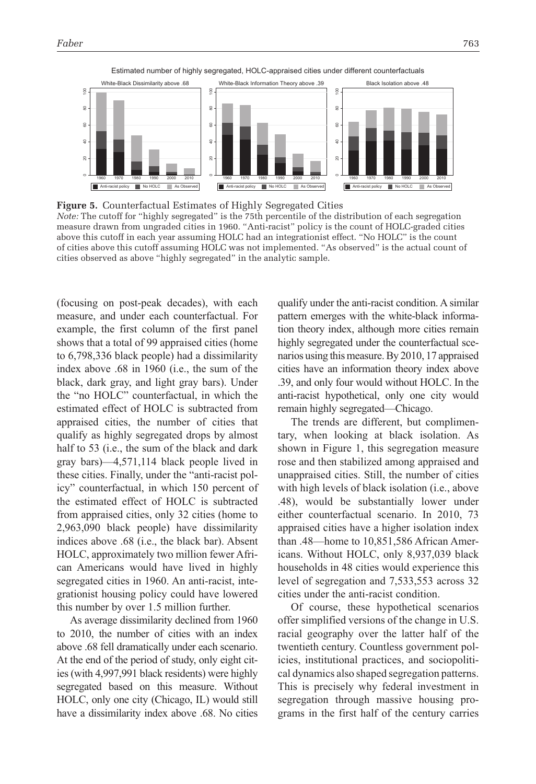

Estimated number of highly segregated, HOLC-appraised cities under different counterfactuals

**Figure 5.** Counterfactual Estimates of Highly Segregated Cities *Note:* The cutoff for "highly segregated" is the 75th percentile of the distribution of each segregation measure drawn from ungraded cities in 1960. "Anti-racist" policy is the count of HOLC-graded cities above this cutoff in each year assuming HOLC had an integrationist effect. "No HOLC" is the count of cities above this cutoff assuming HOLC was not implemented. "As observed" is the actual count of cities observed as above "highly segregated" in the analytic sample.

(focusing on post-peak decades), with each measure, and under each counterfactual. For example, the first column of the first panel shows that a total of 99 appraised cities (home to 6,798,336 black people) had a dissimilarity index above .68 in 1960 (i.e., the sum of the black, dark gray, and light gray bars). Under the "no HOLC" counterfactual, in which the estimated effect of HOLC is subtracted from appraised cities, the number of cities that qualify as highly segregated drops by almost half to 53 (i.e., the sum of the black and dark gray bars)—4,571,114 black people lived in these cities. Finally, under the "anti-racist policy" counterfactual, in which 150 percent of the estimated effect of HOLC is subtracted from appraised cities, only 32 cities (home to 2,963,090 black people) have dissimilarity indices above .68 (i.e., the black bar). Absent HOLC, approximately two million fewer African Americans would have lived in highly segregated cities in 1960. An anti-racist, integrationist housing policy could have lowered this number by over 1.5 million further.

As average dissimilarity declined from 1960 to 2010, the number of cities with an index above .68 fell dramatically under each scenario. At the end of the period of study, only eight cities (with 4,997,991 black residents) were highly segregated based on this measure. Without HOLC, only one city (Chicago, IL) would still have a dissimilarity index above .68. No cities qualify under the anti-racist condition. A similar pattern emerges with the white-black information theory index, although more cities remain highly segregated under the counterfactual scenarios using this measure. By 2010, 17 appraised cities have an information theory index above .39, and only four would without HOLC. In the anti-racist hypothetical, only one city would remain highly segregated—Chicago.

The trends are different, but complimentary, when looking at black isolation. As shown in Figure 1, this segregation measure rose and then stabilized among appraised and unappraised cities. Still, the number of cities with high levels of black isolation (i.e., above .48), would be substantially lower under either counterfactual scenario. In 2010, 73 appraised cities have a higher isolation index than .48—home to 10,851,586 African Americans. Without HOLC, only 8,937,039 black households in 48 cities would experience this level of segregation and 7,533,553 across 32 cities under the anti-racist condition.

Of course, these hypothetical scenarios offer simplified versions of the change in U.S. racial geography over the latter half of the twentieth century. Countless government policies, institutional practices, and sociopolitical dynamics also shaped segregation patterns. This is precisely why federal investment in segregation through massive housing programs in the first half of the century carries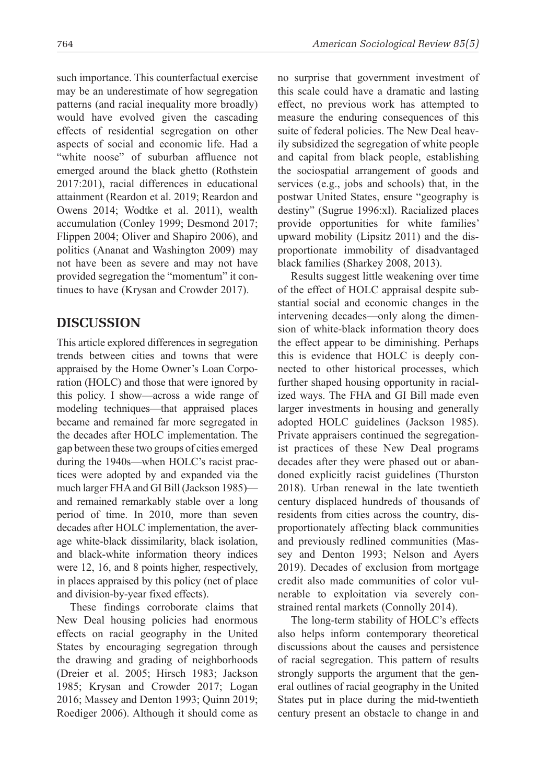such importance. This counterfactual exercise may be an underestimate of how segregation patterns (and racial inequality more broadly) would have evolved given the cascading effects of residential segregation on other aspects of social and economic life. Had a "white noose" of suburban affluence not emerged around the black ghetto (Rothstein 2017:201), racial differences in educational attainment (Reardon et al. 2019; Reardon and Owens 2014; Wodtke et al. 2011), wealth accumulation (Conley 1999; Desmond 2017; Flippen 2004; Oliver and Shapiro 2006), and politics (Ananat and Washington 2009) may not have been as severe and may not have provided segregation the "momentum" it continues to have (Krysan and Crowder 2017).

### **Discussion**

This article explored differences in segregation trends between cities and towns that were appraised by the Home Owner's Loan Corporation (HOLC) and those that were ignored by this policy. I show—across a wide range of modeling techniques—that appraised places became and remained far more segregated in the decades after HOLC implementation. The gap between these two groups of cities emerged during the 1940s—when HOLC's racist practices were adopted by and expanded via the much larger FHA and GI Bill (Jackson 1985) and remained remarkably stable over a long period of time. In 2010, more than seven decades after HOLC implementation, the average white-black dissimilarity, black isolation, and black-white information theory indices were 12, 16, and 8 points higher, respectively, in places appraised by this policy (net of place and division-by-year fixed effects).

These findings corroborate claims that New Deal housing policies had enormous effects on racial geography in the United States by encouraging segregation through the drawing and grading of neighborhoods (Dreier et al. 2005; Hirsch 1983; Jackson 1985; Krysan and Crowder 2017; Logan 2016; Massey and Denton 1993; Quinn 2019; Roediger 2006). Although it should come as no surprise that government investment of this scale could have a dramatic and lasting effect, no previous work has attempted to measure the enduring consequences of this suite of federal policies. The New Deal heavily subsidized the segregation of white people and capital from black people, establishing the sociospatial arrangement of goods and services (e.g., jobs and schools) that, in the postwar United States, ensure "geography is destiny" (Sugrue 1996:xl). Racialized places provide opportunities for white families' upward mobility (Lipsitz 2011) and the disproportionate immobility of disadvantaged black families (Sharkey 2008, 2013).

Results suggest little weakening over time of the effect of HOLC appraisal despite substantial social and economic changes in the intervening decades—only along the dimension of white-black information theory does the effect appear to be diminishing. Perhaps this is evidence that HOLC is deeply connected to other historical processes, which further shaped housing opportunity in racialized ways. The FHA and GI Bill made even larger investments in housing and generally adopted HOLC guidelines (Jackson 1985). Private appraisers continued the segregationist practices of these New Deal programs decades after they were phased out or abandoned explicitly racist guidelines (Thurston 2018). Urban renewal in the late twentieth century displaced hundreds of thousands of residents from cities across the country, disproportionately affecting black communities and previously redlined communities (Massey and Denton 1993; Nelson and Ayers 2019). Decades of exclusion from mortgage credit also made communities of color vulnerable to exploitation via severely constrained rental markets (Connolly 2014).

The long-term stability of HOLC's effects also helps inform contemporary theoretical discussions about the causes and persistence of racial segregation. This pattern of results strongly supports the argument that the general outlines of racial geography in the United States put in place during the mid-twentieth century present an obstacle to change in and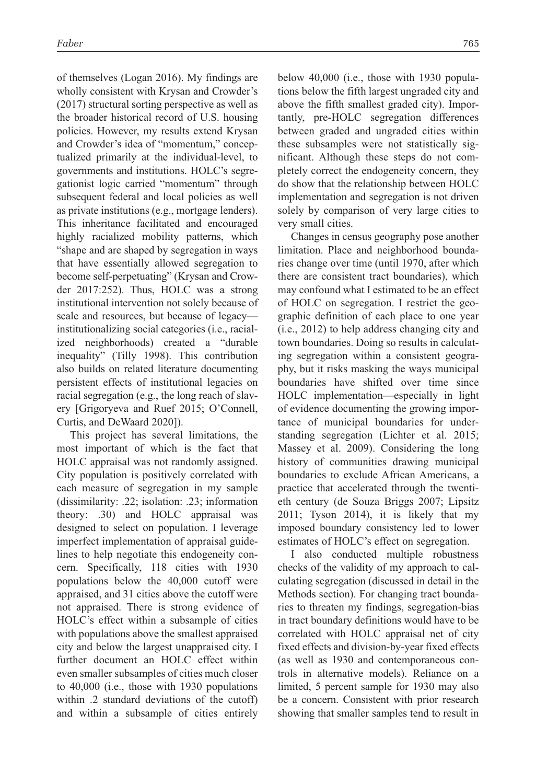of themselves (Logan 2016). My findings are wholly consistent with Krysan and Crowder's (2017) structural sorting perspective as well as the broader historical record of U.S. housing policies. However, my results extend Krysan and Crowder's idea of "momentum," conceptualized primarily at the individual-level, to governments and institutions. HOLC's segregationist logic carried "momentum" through subsequent federal and local policies as well as private institutions (e.g., mortgage lenders). This inheritance facilitated and encouraged highly racialized mobility patterns, which "shape and are shaped by segregation in ways that have essentially allowed segregation to become self-perpetuating" (Krysan and Crowder 2017:252). Thus, HOLC was a strong institutional intervention not solely because of scale and resources, but because of legacy institutionalizing social categories (i.e., racialized neighborhoods) created a "durable inequality" (Tilly 1998). This contribution also builds on related literature documenting persistent effects of institutional legacies on racial segregation (e.g., the long reach of slavery [Grigoryeva and Ruef 2015; O'Connell, Curtis, and DeWaard 2020]).

This project has several limitations, the most important of which is the fact that HOLC appraisal was not randomly assigned. City population is positively correlated with each measure of segregation in my sample (dissimilarity: .22; isolation: .23; information theory: .30) and HOLC appraisal was designed to select on population. I leverage imperfect implementation of appraisal guidelines to help negotiate this endogeneity concern. Specifically, 118 cities with 1930 populations below the 40,000 cutoff were appraised, and 31 cities above the cutoff were not appraised. There is strong evidence of HOLC's effect within a subsample of cities with populations above the smallest appraised city and below the largest unappraised city. I further document an HOLC effect within even smaller subsamples of cities much closer to 40,000 (i.e., those with 1930 populations within .2 standard deviations of the cutoff) and within a subsample of cities entirely

below 40,000 (i.e., those with 1930 populations below the fifth largest ungraded city and above the fifth smallest graded city). Importantly, pre-HOLC segregation differences between graded and ungraded cities within these subsamples were not statistically significant. Although these steps do not completely correct the endogeneity concern, they do show that the relationship between HOLC implementation and segregation is not driven solely by comparison of very large cities to very small cities.

Changes in census geography pose another limitation. Place and neighborhood boundaries change over time (until 1970, after which there are consistent tract boundaries), which may confound what I estimated to be an effect of HOLC on segregation. I restrict the geographic definition of each place to one year (i.e., 2012) to help address changing city and town boundaries. Doing so results in calculating segregation within a consistent geography, but it risks masking the ways municipal boundaries have shifted over time since HOLC implementation—especially in light of evidence documenting the growing importance of municipal boundaries for understanding segregation (Lichter et al. 2015; Massey et al. 2009). Considering the long history of communities drawing municipal boundaries to exclude African Americans, a practice that accelerated through the twentieth century (de Souza Briggs 2007; Lipsitz 2011; Tyson 2014), it is likely that my imposed boundary consistency led to lower estimates of HOLC's effect on segregation.

I also conducted multiple robustness checks of the validity of my approach to calculating segregation (discussed in detail in the Methods section). For changing tract boundaries to threaten my findings, segregation-bias in tract boundary definitions would have to be correlated with HOLC appraisal net of city fixed effects and division-by-year fixed effects (as well as 1930 and contemporaneous controls in alternative models). Reliance on a limited, 5 percent sample for 1930 may also be a concern. Consistent with prior research showing that smaller samples tend to result in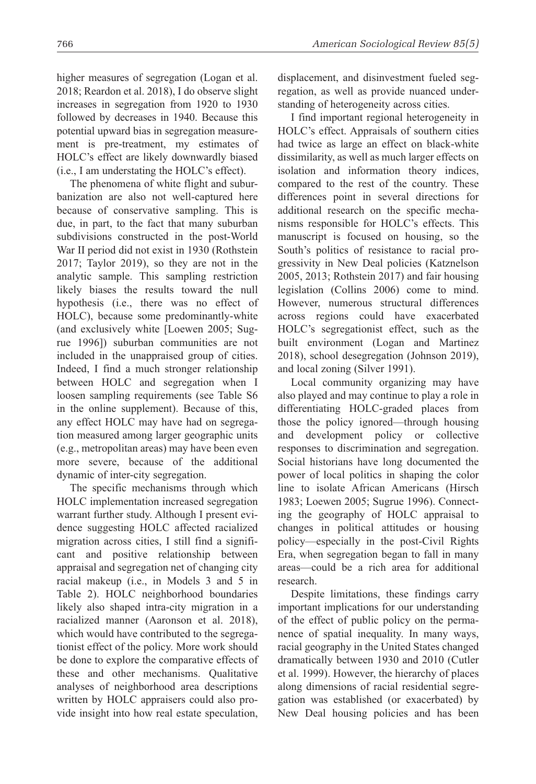higher measures of segregation (Logan et al. 2018; Reardon et al. 2018), I do observe slight increases in segregation from 1920 to 1930 followed by decreases in 1940. Because this potential upward bias in segregation measurement is pre-treatment, my estimates of HOLC's effect are likely downwardly biased (i.e., I am understating the HOLC's effect).

The phenomena of white flight and suburbanization are also not well-captured here because of conservative sampling. This is due, in part, to the fact that many suburban subdivisions constructed in the post-World War II period did not exist in 1930 (Rothstein 2017; Taylor 2019), so they are not in the analytic sample. This sampling restriction likely biases the results toward the null hypothesis (i.e., there was no effect of HOLC), because some predominantly-white (and exclusively white [Loewen 2005; Sugrue 1996]) suburban communities are not included in the unappraised group of cities. Indeed, I find a much stronger relationship between HOLC and segregation when I loosen sampling requirements (see Table S6 in the online supplement). Because of this, any effect HOLC may have had on segregation measured among larger geographic units (e.g., metropolitan areas) may have been even more severe, because of the additional dynamic of inter-city segregation.

The specific mechanisms through which HOLC implementation increased segregation warrant further study. Although I present evidence suggesting HOLC affected racialized migration across cities, I still find a significant and positive relationship between appraisal and segregation net of changing city racial makeup (i.e., in Models 3 and 5 in Table 2). HOLC neighborhood boundaries likely also shaped intra-city migration in a racialized manner (Aaronson et al. 2018), which would have contributed to the segregationist effect of the policy. More work should be done to explore the comparative effects of these and other mechanisms. Qualitative analyses of neighborhood area descriptions written by HOLC appraisers could also provide insight into how real estate speculation, displacement, and disinvestment fueled segregation, as well as provide nuanced understanding of heterogeneity across cities.

I find important regional heterogeneity in HOLC's effect. Appraisals of southern cities had twice as large an effect on black-white dissimilarity, as well as much larger effects on isolation and information theory indices, compared to the rest of the country. These differences point in several directions for additional research on the specific mechanisms responsible for HOLC's effects. This manuscript is focused on housing, so the South's politics of resistance to racial progressivity in New Deal policies (Katznelson 2005, 2013; Rothstein 2017) and fair housing legislation (Collins 2006) come to mind. However, numerous structural differences across regions could have exacerbated HOLC's segregationist effect, such as the built environment (Logan and Martinez 2018), school desegregation (Johnson 2019), and local zoning (Silver 1991).

Local community organizing may have also played and may continue to play a role in differentiating HOLC-graded places from those the policy ignored—through housing and development policy or collective responses to discrimination and segregation. Social historians have long documented the power of local politics in shaping the color line to isolate African Americans (Hirsch 1983; Loewen 2005; Sugrue 1996). Connecting the geography of HOLC appraisal to changes in political attitudes or housing policy—especially in the post-Civil Rights Era, when segregation began to fall in many areas—could be a rich area for additional research.

Despite limitations, these findings carry important implications for our understanding of the effect of public policy on the permanence of spatial inequality. In many ways, racial geography in the United States changed dramatically between 1930 and 2010 (Cutler et al. 1999). However, the hierarchy of places along dimensions of racial residential segregation was established (or exacerbated) by New Deal housing policies and has been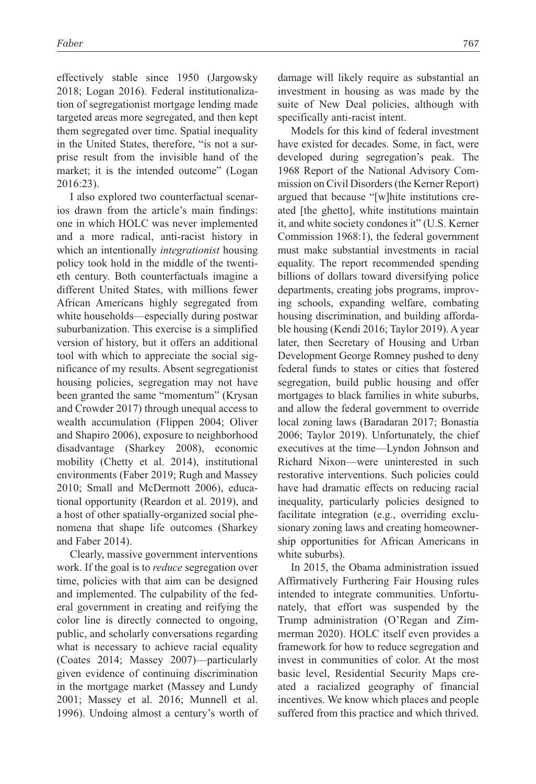effectively stable since 1950 (Jargowsky 2018; Logan 2016). Federal institutionalization of segregationist mortgage lending made targeted areas more segregated, and then kept them segregated over time. Spatial inequality in the United States, therefore, "is not a surprise result from the invisible hand of the market; it is the intended outcome" (Logan 2016:23).

I also explored two counterfactual scenarios drawn from the article's main findings: one in which HOLC was never implemented and a more radical, anti-racist history in which an intentionally *integrationist* housing policy took hold in the middle of the twentieth century. Both counterfactuals imagine a different United States, with millions fewer African Americans highly segregated from white households—especially during postwar suburbanization. This exercise is a simplified version of history, but it offers an additional tool with which to appreciate the social significance of my results. Absent segregationist housing policies, segregation may not have been granted the same "momentum" (Krysan and Crowder 2017) through unequal access to wealth accumulation (Flippen 2004; Oliver and Shapiro 2006), exposure to neighborhood disadvantage (Sharkey 2008), economic mobility (Chetty et al. 2014), institutional environments (Faber 2019; Rugh and Massey 2010; Small and McDermott 2006), educational opportunity (Reardon et al. 2019), and a host of other spatially-organized social phenomena that shape life outcomes (Sharkey and Faber 2014).

Clearly, massive government interventions work. If the goal is to *reduce* segregation over time, policies with that aim can be designed and implemented. The culpability of the federal government in creating and reifying the color line is directly connected to ongoing, public, and scholarly conversations regarding what is necessary to achieve racial equality (Coates 2014; Massey 2007)—particularly given evidence of continuing discrimination in the mortgage market (Massey and Lundy 2001; Massey et al. 2016; Munnell et al. 1996). Undoing almost a century's worth of damage will likely require as substantial an investment in housing as was made by the suite of New Deal policies, although with specifically anti-racist intent.

Models for this kind of federal investment have existed for decades. Some, in fact, were developed during segregation's peak. The 1968 Report of the National Advisory Commission on Civil Disorders (the Kerner Report) argued that because "[w]hite institutions created [the ghetto], white institutions maintain it, and white society condones it" (U.S. Kerner Commission 1968:1), the federal government must make substantial investments in racial equality. The report recommended spending billions of dollars toward diversifying police departments, creating jobs programs, improving schools, expanding welfare, combating housing discrimination, and building affordable housing (Kendi 2016; Taylor 2019). A year later, then Secretary of Housing and Urban Development George Romney pushed to deny federal funds to states or cities that fostered segregation, build public housing and offer mortgages to black families in white suburbs, and allow the federal government to override local zoning laws (Baradaran 2017; Bonastia 2006; Taylor 2019). Unfortunately, the chief executives at the time—Lyndon Johnson and Richard Nixon—were uninterested in such restorative interventions. Such policies could have had dramatic effects on reducing racial inequality, particularly policies designed to facilitate integration (e.g., overriding exclusionary zoning laws and creating homeownership opportunities for African Americans in white suburbs).

In 2015, the Obama administration issued Affirmatively Furthering Fair Housing rules intended to integrate communities. Unfortunately, that effort was suspended by the Trump administration (O'Regan and Zimmerman 2020). HOLC itself even provides a framework for how to reduce segregation and invest in communities of color. At the most basic level, Residential Security Maps created a racialized geography of financial incentives. We know which places and people suffered from this practice and which thrived.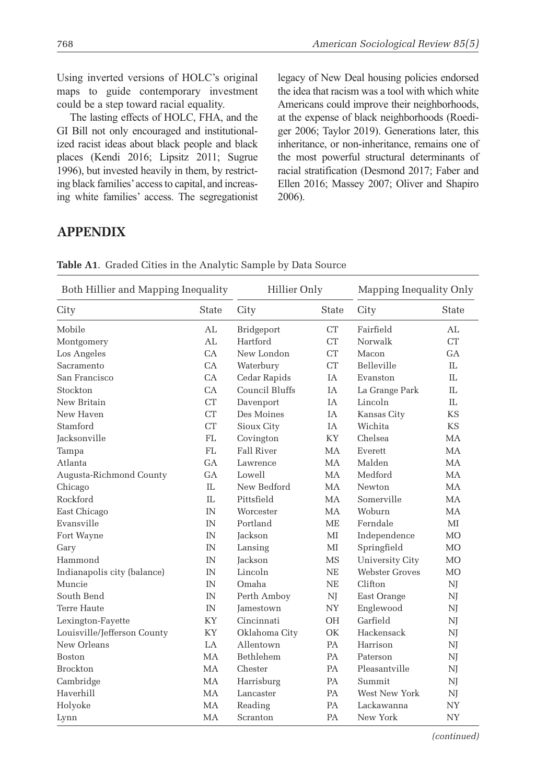Using inverted versions of HOLC's original maps to guide contemporary investment could be a step toward racial equality.

The lasting effects of HOLC, FHA, and the GI Bill not only encouraged and institutionalized racist ideas about black people and black places (Kendi 2016; Lipsitz 2011; Sugrue 1996), but invested heavily in them, by restricting black families' access to capital, and increasing white families' access. The segregationist legacy of New Deal housing policies endorsed the idea that racism was a tool with which white Americans could improve their neighborhoods, at the expense of black neighborhoods (Roediger 2006; Taylor 2019). Generations later, this inheritance, or non-inheritance, remains one of the most powerful structural determinants of racial stratification (Desmond 2017; Faber and Ellen 2016; Massey 2007; Oliver and Shapiro 2006).

# **Appendix**

| Both Hillier and Mapping Inequality |           | Hillier Only     |              | Mapping Inequality Only |                |
|-------------------------------------|-----------|------------------|--------------|-------------------------|----------------|
| City                                | State     | City             | <b>State</b> | City                    | State          |
| Mobile                              | AL        | Bridgeport       | <b>CT</b>    | Fairfield               | AL             |
| Montgomery                          | AL        | Hartford         | <b>CT</b>    | Norwalk                 | CT             |
| Los Angeles                         | CA        | New London       | <b>CT</b>    | Macon                   | $G_A$          |
| Sacramento                          | CA        | Waterbury        | <b>CT</b>    | Belleville              | $\Pi$ .        |
| San Francisco                       | CA        | Cedar Rapids     | IA           | Evanston                | II.            |
| Stockton                            | CA        | Council Bluffs   | <b>TA</b>    | La Grange Park          | $\Pi$ .        |
| New Britain                         | <b>CT</b> | Davenport        | IA           | Lincoln                 | IL             |
| New Haven                           | <b>CT</b> | Des Moines       | IA           | Kansas City             | <b>KS</b>      |
| Stamford                            | <b>CT</b> | Sioux City       | <b>TA</b>    | Wichita                 | <b>KS</b>      |
| Jacksonville                        | <b>FL</b> | Covington        | KY           | Chelsea                 | MA             |
| Tampa                               | <b>FL</b> | Fall River       | MA           | Everett                 | <b>MA</b>      |
| Atlanta                             | $G_A$     | Lawrence         | <b>MA</b>    | Malden                  | <b>MA</b>      |
| Augusta-Richmond County             | GA        | Lowell           | MA           | Medford                 | <b>MA</b>      |
| Chicago                             | II.       | New Bedford      | MA           | Newton                  | MA             |
| Rockford                            | $\Pi$ .   | Pittsfield       | MA           | Somerville              | <b>MA</b>      |
| East Chicago                        | IN        | Worcester        | MA           | Woburn                  | MA             |
| Evansville                          | IN        | Portland         | <b>ME</b>    | Ferndale                | MI             |
| Fort Wayne                          | IN        | Jackson          | MI           | Independence            | M <sub>O</sub> |
| Gary                                | IN        | Lansing          | $\mathbf{M}$ | Springfield             | M <sub>O</sub> |
| Hammond                             | IN        | Jackson          | <b>MS</b>    | University City         | <b>MO</b>      |
| Indianapolis city (balance)         | IN        | Lincoln          | <b>NE</b>    | Webster Groves          | <b>MO</b>      |
| Muncie                              | IN        | Omaha            | <b>NE</b>    | Clifton                 | NJ             |
| South Bend                          | IN        | Perth Amboy      | NJ           | East Orange             | NJ             |
| Terre Haute                         | IN        | <b>Jamestown</b> | <b>NY</b>    | Englewood               | NJ             |
| Lexington-Fayette                   | KY        | Cincinnati       | <b>OH</b>    | Garfield                | NJ             |
| Louisville/Jefferson County         | KY        | Oklahoma City    | OK           | Hackensack              | NJ             |
| New Orleans                         | $L_A$     | Allentown        | PA           | Harrison                | NJ             |
| Boston                              | MA        | Bethlehem        | PA           | Paterson                | NJ             |
| <b>Brockton</b>                     | <b>MA</b> | Chester          | PA           | Pleasantville           | NJ             |
| Cambridge                           | <b>MA</b> | Harrisburg       | PA           | Summit                  | NJ             |
| Haverhill                           | <b>MA</b> | Lancaster        | PA           | West New York           | NJ             |
| Holyoke                             | MA        | Reading          | PA           | Lackawanna              | NY             |
| Lynn                                | MA        | Scranton         | PA           | New York                | <b>NY</b>      |

**Table A1**. Graded Cities in the Analytic Sample by Data Source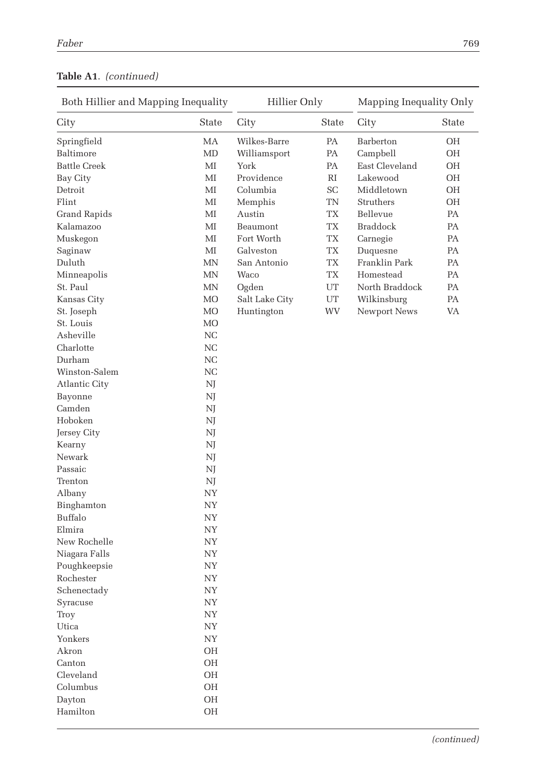| Both Hillier and Mapping Inequality |              | Hillier Only   |                          | Mapping Inequality Only |       |
|-------------------------------------|--------------|----------------|--------------------------|-------------------------|-------|
| City                                | State        | City           | <b>State</b>             | City                    | State |
| Springfield                         | MA           | Wilkes-Barre   | PA                       | Barberton               | OH    |
| Baltimore                           | МD           | Williamsport   | PA                       | Campbell                | OH    |
| <b>Battle Creek</b>                 | $\mathbf{M}$ | York           | PA                       | East Cleveland          | OH    |
| Bay City                            | МI           | Providence     | RI                       | Lakewood                | OH    |
| Detroit                             | $\mathbf{M}$ | Columbia       | SC                       | Middletown              | OH    |
| Flint                               | ΜΙ           | Memphis        | TN                       | Struthers               | OH    |
| Grand Rapids                        | ΜΙ           | Austin         | TX                       | Bellevue                | PA    |
| Kalamazoo                           | ΜΙ           | Beaumont       | <b>TX</b>                | <b>Braddock</b>         | РA    |
| Muskegon                            | МI           | Fort Worth     | TX                       | Carnegie                | PA    |
| Saginaw                             | МI           | Galveston      | <b>TX</b>                | Duquesne                | PA    |
| Duluth                              | MN           | San Antonio    | $\mathcal{T}\mathcal{X}$ | Franklin Park           | PA    |
| Minneapolis                         | MN           | Waco           | TX                       | Homestead               | PA    |
| St. Paul                            | MN           | Ogden          | UT                       | North Braddock          | PA    |
| Kansas City                         | MO           | Salt Lake City | UT                       | Wilkinsburg             | PA    |
| St. Joseph                          | MO           | Huntington     | <b>WV</b>                | Newport News            | VA    |
| St. Louis                           | MO           |                |                          |                         |       |
| Asheville                           | NC           |                |                          |                         |       |
| Charlotte                           | NC           |                |                          |                         |       |
| Durham                              | NC           |                |                          |                         |       |
| Winston-Salem                       | NC           |                |                          |                         |       |
| Atlantic City                       | NJ           |                |                          |                         |       |
| Bayonne                             | NJ           |                |                          |                         |       |
| Camden                              | NJ           |                |                          |                         |       |
| Hoboken                             | NJ           |                |                          |                         |       |
| Jersey City                         | NJ           |                |                          |                         |       |
| Kearny                              | NJ           |                |                          |                         |       |
| Newark                              | NJ           |                |                          |                         |       |
| Passaic                             | NJ           |                |                          |                         |       |
| Trenton                             | NJ           |                |                          |                         |       |
| Albany                              | <b>NY</b>    |                |                          |                         |       |
| Binghamton                          | <b>NY</b>    |                |                          |                         |       |
| Buffalo                             | <b>NY</b>    |                |                          |                         |       |
| Elmira                              | <b>NY</b>    |                |                          |                         |       |
| New Rochelle                        | <b>NY</b>    |                |                          |                         |       |
| Niagara Falls                       | <b>NY</b>    |                |                          |                         |       |
| Poughkeepsie                        | <b>NY</b>    |                |                          |                         |       |
| Rochester                           | <b>NY</b>    |                |                          |                         |       |
| Schenectady                         | <b>NY</b>    |                |                          |                         |       |
| Syracuse                            | ${\rm NY}$   |                |                          |                         |       |
| Troy                                | ${\rm NY}$   |                |                          |                         |       |
| Utica                               | ${\rm NY}$   |                |                          |                         |       |
| Yonkers                             | ${\rm NY}$   |                |                          |                         |       |
| Akron                               | OH           |                |                          |                         |       |
| Canton                              | OH           |                |                          |                         |       |
| Cleveland                           | OH           |                |                          |                         |       |
| Columbus                            | OH           |                |                          |                         |       |
| Dayton                              | OH           |                |                          |                         |       |
| Hamilton                            | OH           |                |                          |                         |       |
|                                     |              |                |                          |                         |       |

### **Table A1**. *(continued)*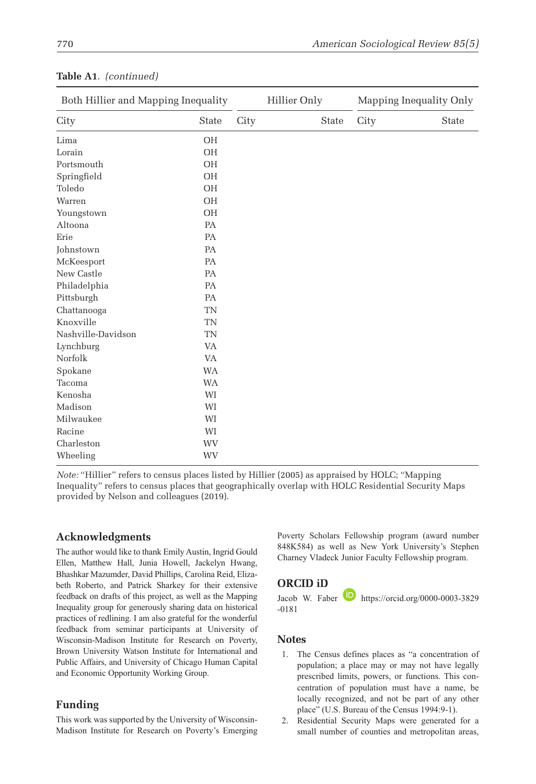| Both Hillier and Mapping Inequality |           |      | Hillier Only |       |      | Mapping Inequality Only |
|-------------------------------------|-----------|------|--------------|-------|------|-------------------------|
| City                                | State     | City |              | State | City | State                   |
| Lima                                | <b>OH</b> |      |              |       |      |                         |
| Lorain                              | <b>OH</b> |      |              |       |      |                         |
| Portsmouth                          | <b>OH</b> |      |              |       |      |                         |
| Springfield                         | <b>OH</b> |      |              |       |      |                         |
| Toledo                              | <b>OH</b> |      |              |       |      |                         |
| Warren                              | <b>OH</b> |      |              |       |      |                         |
| Youngstown                          | <b>OH</b> |      |              |       |      |                         |
| Altoona                             | PA        |      |              |       |      |                         |
| Erie                                | PA        |      |              |       |      |                         |
| Johnstown                           | PA        |      |              |       |      |                         |
| McKeesport                          | PA        |      |              |       |      |                         |
| New Castle                          | PA        |      |              |       |      |                         |
| Philadelphia                        | PA        |      |              |       |      |                         |
| Pittsburgh                          | PA        |      |              |       |      |                         |
| Chattanooga                         | <b>TN</b> |      |              |       |      |                         |
| Knoxville                           | <b>TN</b> |      |              |       |      |                         |
| Nashville-Davidson                  | <b>TN</b> |      |              |       |      |                         |
| Lynchburg                           | <b>VA</b> |      |              |       |      |                         |
| Norfolk                             | <b>VA</b> |      |              |       |      |                         |
| Spokane                             | <b>WA</b> |      |              |       |      |                         |
| Tacoma                              | <b>WA</b> |      |              |       |      |                         |
| Kenosha                             | WI        |      |              |       |      |                         |
| Madison                             | WI        |      |              |       |      |                         |
| Milwaukee                           | WI        |      |              |       |      |                         |
| Racine                              | WI        |      |              |       |      |                         |
| Charleston                          | WV        |      |              |       |      |                         |
| Wheeling                            | WV        |      |              |       |      |                         |

#### **Table A1**. *(continued)*

*Note:* "Hillier" refers to census places listed by Hillier (2005) as appraised by HOLC; "Mapping Inequality" refers to census places that geographically overlap with HOLC Residential Security Maps provided by Nelson and colleagues (2019).

#### **Acknowledgments**

The author would like to thank Emily Austin, Ingrid Gould Ellen, Matthew Hall, Junia Howell, Jackelyn Hwang, Bhashkar Mazumder, David Phillips, Carolina Reid, Elizabeth Roberto, and Patrick Sharkey for their extensive feedback on drafts of this project, as well as the Mapping Inequality group for generously sharing data on historical practices of redlining. I am also grateful for the wonderful feedback from seminar participants at University of Wisconsin-Madison Institute for Research on Poverty, Brown University Watson Institute for International and Public Affairs, and University of Chicago Human Capital and Economic Opportunity Working Group.

#### **Funding**

This work was supported by the University of Wisconsin-Madison Institute for Research on Poverty's Emerging Poverty Scholars Fellowship program (award number 848K584) as well as New York University's Stephen Charney Vladeck Junior Faculty Fellowship program.

#### **ORCID iD**

Jacob W. Faber **https://orcid.org/0000-0003-3829** [-0181](https://orcid.org/0000-0003-3829 -0181)

#### **Notes**

- 1. The Census defines places as "a concentration of population; a place may or may not have legally prescribed limits, powers, or functions. This concentration of population must have a name, be locally recognized, and not be part of any other place" (U.S. Bureau of the Census 1994:9-1).
- 2. Residential Security Maps were generated for a small number of counties and metropolitan areas,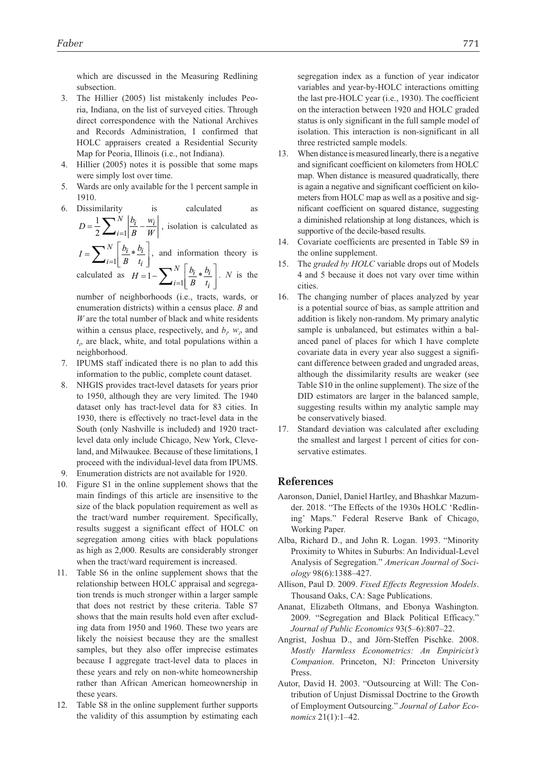which are discussed in the Measuring Redlining subsection.

- 3. The Hillier (2005) list mistakenly includes Peoria, Indiana, on the list of surveyed cities. Through direct correspondence with the National Archives and Records Administration, I confirmed that HOLC appraisers created a Residential Security Map for Peoria, Illinois (i.e., not Indiana).
- 4. Hillier (2005) notes it is possible that some maps were simply lost over time.
- 5. Wards are only available for the 1 percent sample in 1910.
- 6. Dissimilarity is calculated as *w i i*

$$
D = \frac{1}{2} \sum_{i=1}^{N} \left| \frac{b_i}{B} - \frac{w_i}{W} \right|
$$
, isolation is calculated as

 $I = \sum_{i=1}^{N} \left| \frac{b_i}{B} \right|$ *b t*  $i * \frac{b_i}{i}$  $i=1$  *B*  $t_i$  $=\sum^{N}$  $\overline{\phantom{a}}$ I  $\sum_{i=1}^{N} \left[ \frac{b_i}{B} * \frac{b_i}{t_i} \right]$ , and information theory is *b*  $\overline{\phantom{a}}$ 

calculated as  $H = 1 - \sum_{i=1}^{N} \frac{b_i}{B_i}$ *t*  $\frac{i}{i} * \frac{b_i}{i}$  $i=1$  *B*  $t_i$  $\left[\begin{array}{c} 1 \ -1 \end{array}\right]$  $\overline{\mathsf{L}}$  $\left[1 - \sum_{i=1}^{N} \left[ \frac{b_i}{B} * \frac{b_i}{t_i} \right] \right]$ . *N* is the

number of neighborhoods (i.e., tracts, wards, or enumeration districts) within a census place. *B* and *W* are the total number of black and white residents within a census place, respectively, and  $b_i$ ,  $w_i$ , and *ti* , are black, white, and total populations within a neighborhood.

- 7. IPUMS staff indicated there is no plan to add this information to the public, complete count dataset.
- 8. NHGIS provides tract-level datasets for years prior to 1950, although they are very limited. The 1940 dataset only has tract-level data for 83 cities. In 1930, there is effectively no tract-level data in the South (only Nashville is included) and 1920 tractlevel data only include Chicago, New York, Cleveland, and Milwaukee. Because of these limitations, I proceed with the individual-level data from IPUMS.
- 9. Enumeration districts are not available for 1920.
- 10. Figure S1 in the online supplement shows that the main findings of this article are insensitive to the size of the black population requirement as well as the tract/ward number requirement. Specifically, results suggest a significant effect of HOLC on segregation among cities with black populations as high as 2,000. Results are considerably stronger when the tract/ward requirement is increased.
- 11. Table S6 in the online supplement shows that the relationship between HOLC appraisal and segregation trends is much stronger within a larger sample that does not restrict by these criteria. Table S7 shows that the main results hold even after excluding data from 1950 and 1960. These two years are likely the noisiest because they are the smallest samples, but they also offer imprecise estimates because I aggregate tract-level data to places in these years and rely on non-white homeownership rather than African American homeownership in these years.
- 12. Table S8 in the online supplement further supports the validity of this assumption by estimating each

segregation index as a function of year indicator variables and year-by-HOLC interactions omitting the last pre-HOLC year (i.e., 1930). The coefficient on the interaction between 1920 and HOLC graded status is only significant in the full sample model of isolation. This interaction is non-significant in all three restricted sample models.

- 13. When distance is measured linearly, there is a negative and significant coefficient on kilometers from HOLC map. When distance is measured quadratically, there is again a negative and significant coefficient on kilometers from HOLC map as well as a positive and significant coefficient on squared distance, suggesting a diminished relationship at long distances, which is supportive of the decile-based results.
- 14. Covariate coefficients are presented in Table S9 in the online supplement.
- 15. The *graded by HOLC* variable drops out of Models 4 and 5 because it does not vary over time within cities.
- 16. The changing number of places analyzed by year is a potential source of bias, as sample attrition and addition is likely non-random. My primary analytic sample is unbalanced, but estimates within a balanced panel of places for which I have complete covariate data in every year also suggest a significant difference between graded and ungraded areas, although the dissimilarity results are weaker (see Table S10 in the online supplement). The size of the DID estimators are larger in the balanced sample, suggesting results within my analytic sample may be conservatively biased.
- 17. Standard deviation was calculated after excluding the smallest and largest 1 percent of cities for conservative estimates.

#### **References**

- Aaronson, Daniel, Daniel Hartley, and Bhashkar Mazumder. 2018. "The Effects of the 1930s HOLC 'Redlining' Maps." Federal Reserve Bank of Chicago, Working Paper.
- Alba, Richard D., and John R. Logan. 1993. "Minority Proximity to Whites in Suburbs: An Individual-Level Analysis of Segregation." *American Journal of Sociology* 98(6):1388–427.
- Allison, Paul D. 2009. *Fixed Effects Regression Models*. Thousand Oaks, CA: Sage Publications.
- Ananat, Elizabeth Oltmans, and Ebonya Washington. 2009. "Segregation and Black Political Efficacy." *Journal of Public Economics* 93(5–6):807–22.
- Angrist, Joshua D., and Jörn-Steffen Pischke. 2008. *Mostly Harmless Econometrics: An Empiricist's Companion*. Princeton, NJ: Princeton University Press.
- Autor, David H. 2003. "Outsourcing at Will: The Contribution of Unjust Dismissal Doctrine to the Growth of Employment Outsourcing." *Journal of Labor Economics* 21(1):1–42.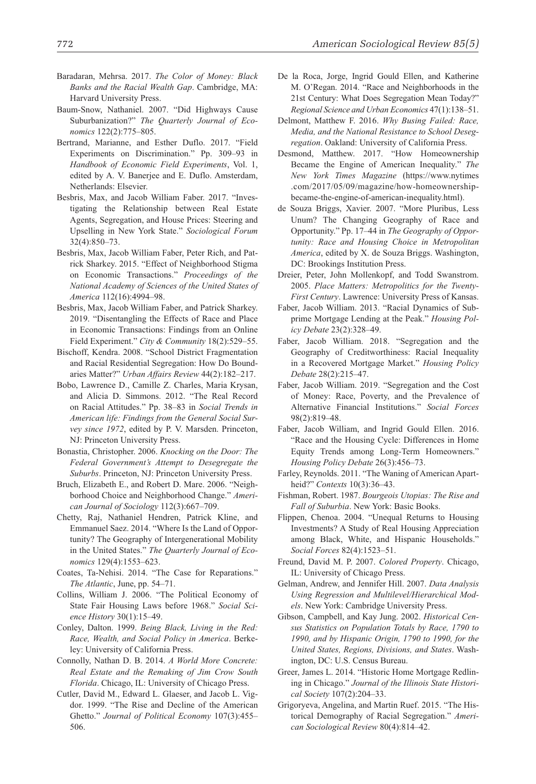- Baradaran, Mehrsa. 2017. *The Color of Money: Black Banks and the Racial Wealth Gap*. Cambridge, MA: Harvard University Press.
- Baum-Snow, Nathaniel. 2007. "Did Highways Cause Suburbanization?" *The Quarterly Journal of Economics* 122(2):775–805.
- Bertrand, Marianne, and Esther Duflo. 2017. "Field Experiments on Discrimination." Pp. 309–93 in *Handbook of Economic Field Experiments*, Vol. 1, edited by A. V. Banerjee and E. Duflo. Amsterdam, Netherlands: Elsevier.
- Besbris, Max, and Jacob William Faber. 2017. "Investigating the Relationship between Real Estate Agents, Segregation, and House Prices: Steering and Upselling in New York State." *Sociological Forum* 32(4):850–73.
- Besbris, Max, Jacob William Faber, Peter Rich, and Patrick Sharkey. 2015. "Effect of Neighborhood Stigma on Economic Transactions." *Proceedings of the National Academy of Sciences of the United States of America* 112(16):4994–98.
- Besbris, Max, Jacob William Faber, and Patrick Sharkey. 2019. "Disentangling the Effects of Race and Place in Economic Transactions: Findings from an Online Field Experiment." *City & Community* 18(2):529–55.
- Bischoff, Kendra. 2008. "School District Fragmentation and Racial Residential Segregation: How Do Boundaries Matter?" *Urban Affairs Review* 44(2):182–217.
- Bobo, Lawrence D., Camille Z. Charles, Maria Krysan, and Alicia D. Simmons. 2012. "The Real Record on Racial Attitudes." Pp. 38–83 in *Social Trends in American life: Findings from the General Social Survey since 1972*, edited by P. V. Marsden. Princeton, NJ: Princeton University Press.
- Bonastia, Christopher. 2006. *Knocking on the Door: The Federal Government's Attempt to Desegregate the Suburbs*. Princeton, NJ: Princeton University Press.
- Bruch, Elizabeth E., and Robert D. Mare. 2006. "Neighborhood Choice and Neighborhood Change." *American Journal of Sociology* 112(3):667–709.
- Chetty, Raj, Nathaniel Hendren, Patrick Kline, and Emmanuel Saez. 2014. "Where Is the Land of Opportunity? The Geography of Intergenerational Mobility in the United States." *The Quarterly Journal of Economics* 129(4):1553–623.
- Coates, Ta-Nehisi. 2014. "The Case for Reparations." *The Atlantic*, June, pp. 54–71.
- Collins, William J. 2006. "The Political Economy of State Fair Housing Laws before 1968." *Social Science History* 30(1):15–49.
- Conley, Dalton. 1999. *Being Black, Living in the Red: Race, Wealth, and Social Policy in America*. Berkeley: University of California Press.
- Connolly, Nathan D. B. 2014. *A World More Concrete: Real Estate and the Remaking of Jim Crow South Florida*. Chicago, IL: University of Chicago Press.
- Cutler, David M., Edward L. Glaeser, and Jacob L. Vigdor. 1999. "The Rise and Decline of the American Ghetto." *Journal of Political Economy* 107(3):455– 506.
- De la Roca, Jorge, Ingrid Gould Ellen, and Katherine M. O'Regan. 2014. "Race and Neighborhoods in the 21st Century: What Does Segregation Mean Today?" *Regional Science and Urban Economics* 47(1):138–51.
- Delmont, Matthew F. 2016. *Why Busing Failed: Race, Media, and the National Resistance to School Desegregation*. Oakland: University of California Press.
- Desmond, Matthew. 2017. "How Homeownership Became the Engine of American Inequality." *The New York Times Magazine* [\(https://www.nytimes](https://www.nytimes.com/2017/05/09/magazine/how-homeownership-became-the-engine-of-american-inequality.html) [.com/2017/05/09/magazine/how-homeownership](https://www.nytimes.com/2017/05/09/magazine/how-homeownership-became-the-engine-of-american-inequality.html)[became-the-engine-of-american-inequality.html\)](https://www.nytimes.com/2017/05/09/magazine/how-homeownership-became-the-engine-of-american-inequality.html).
- de Souza Briggs, Xavier. 2007. "More Pluribus, Less Unum? The Changing Geography of Race and Opportunity." Pp. 17–44 in *The Geography of Opportunity: Race and Housing Choice in Metropolitan America*, edited by X. de Souza Briggs. Washington, DC: Brookings Institution Press.
- Dreier, Peter, John Mollenkopf, and Todd Swanstrom. 2005. *Place Matters: Metropolitics for the Twenty-First Century*. Lawrence: University Press of Kansas.
- Faber, Jacob William. 2013. "Racial Dynamics of Subprime Mortgage Lending at the Peak." *Housing Policy Debate* 23(2):328–49.
- Faber, Jacob William. 2018. "Segregation and the Geography of Creditworthiness: Racial Inequality in a Recovered Mortgage Market." *Housing Policy Debate* 28(2):215–47.
- Faber, Jacob William. 2019. "Segregation and the Cost of Money: Race, Poverty, and the Prevalence of Alternative Financial Institutions." *Social Forces* 98(2):819–48.
- Faber, Jacob William, and Ingrid Gould Ellen. 2016. "Race and the Housing Cycle: Differences in Home Equity Trends among Long-Term Homeowners." *Housing Policy Debate* 26(3):456–73.
- Farley, Reynolds. 2011. "The Waning of American Apartheid?" *Contexts* 10(3):36–43.
- Fishman, Robert. 1987. *Bourgeois Utopias: The Rise and Fall of Suburbia*. New York: Basic Books.
- Flippen, Chenoa. 2004. "Unequal Returns to Housing Investments? A Study of Real Housing Appreciation among Black, White, and Hispanic Households." *Social Forces* 82(4):1523–51.
- Freund, David M. P. 2007. *Colored Property*. Chicago, IL: University of Chicago Press.
- Gelman, Andrew, and Jennifer Hill. 2007. *Data Analysis Using Regression and Multilevel/Hierarchical Models*. New York: Cambridge University Press.
- Gibson, Campbell, and Kay Jung. 2002. *Historical Census Statistics on Population Totals by Race, 1790 to 1990, and by Hispanic Origin, 1790 to 1990, for the United States, Regions, Divisions, and States*. Washington, DC: U.S. Census Bureau.
- Greer, James L. 2014. "Historic Home Mortgage Redlining in Chicago." *Journal of the Illinois State Historical Society* 107(2):204–33.
- Grigoryeva, Angelina, and Martin Ruef. 2015. "The Historical Demography of Racial Segregation." *American Sociological Review* 80(4):814–42.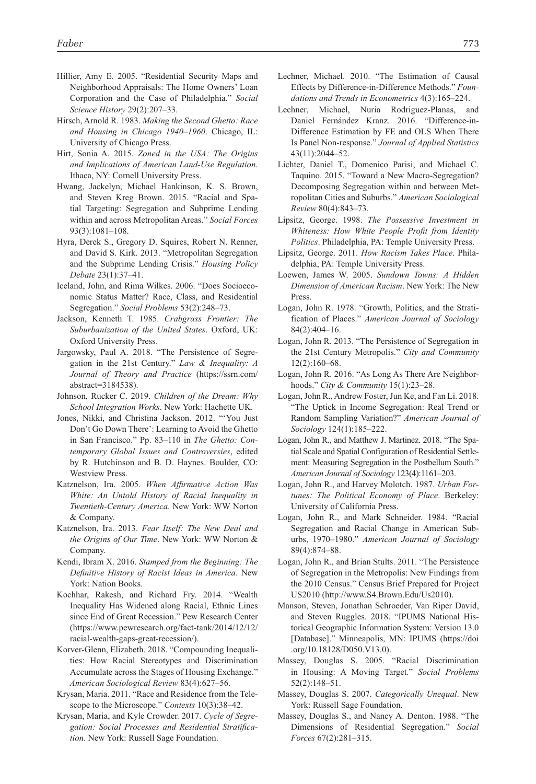- Hillier, Amy E. 2005. "Residential Security Maps and Neighborhood Appraisals: The Home Owners' Loan Corporation and the Case of Philadelphia." *Social Science History* 29(2):207–33.
- Hirsch, Arnold R. 1983. *Making the Second Ghetto: Race and Housing in Chicago 1940–1960*. Chicago, IL: University of Chicago Press.
- Hirt, Sonia A. 2015. *Zoned in the USA: The Origins and Implications of American Land-Use Regulation*. Ithaca, NY: Cornell University Press.
- Hwang, Jackelyn, Michael Hankinson, K. S. Brown, and Steven Kreg Brown. 2015. "Racial and Spatial Targeting: Segregation and Subprime Lending within and across Metropolitan Areas." *Social Forces* 93(3):1081–108.
- Hyra, Derek S., Gregory D. Squires, Robert N. Renner, and David S. Kirk. 2013. "Metropolitan Segregation and the Subprime Lending Crisis." *Housing Policy Debate* 23(1):37–41.
- Iceland, John, and Rima Wilkes. 2006. "Does Socioeconomic Status Matter? Race, Class, and Residential Segregation." *Social Problems* 53(2):248–73.
- Jackson, Kenneth T. 1985. *Crabgrass Frontier: The Suburbanization of the United States*. Oxford, UK: Oxford University Press.
- Jargowsky, Paul A. 2018. "The Persistence of Segregation in the 21st Century." *Law & Inequality: A Journal of Theory and Practice* ([https://ssrn.com/](https://ssrn.com/abstract=3184538) [abstract=3184538\)](https://ssrn.com/abstract=3184538).
- Johnson, Rucker C. 2019. *Children of the Dream: Why School Integration Works*. New York: Hachette UK.
- Jones, Nikki, and Christina Jackson. 2012. "'You Just Don't Go Down There': Learning to Avoid the Ghetto in San Francisco." Pp. 83–110 in *The Ghetto: Contemporary Global Issues and Controversies*, edited by R. Hutchinson and B. D. Haynes. Boulder, CO: Westview Press.
- Katznelson, Ira. 2005. *When Affirmative Action Was White: An Untold History of Racial Inequality in Twentieth-Century America*. New York: WW Norton & Company.
- Katznelson, Ira. 2013. *Fear Itself: The New Deal and the Origins of Our Time*. New York: WW Norton & Company.
- Kendi, Ibram X. 2016. *Stamped from the Beginning: The Definitive History of Racist Ideas in America*. New York: Nation Books.
- Kochhar, Rakesh, and Richard Fry. 2014. "Wealth Inequality Has Widened along Racial, Ethnic Lines since End of Great Recession." Pew Research Center [\(https://www.pewresearch.org/fact-tank/2014/12/12/](https://www.pewresearch.org/fact-tank/2014/12/12/racial-wealth-gaps-great-recession/) [racial-wealth-gaps-great-recession/\)](https://www.pewresearch.org/fact-tank/2014/12/12/racial-wealth-gaps-great-recession/).
- Korver-Glenn, Elizabeth. 2018. "Compounding Inequalities: How Racial Stereotypes and Discrimination Accumulate across the Stages of Housing Exchange." *American Sociological Review* 83(4):627–56.
- Krysan, Maria. 2011. "Race and Residence from the Telescope to the Microscope." *Contexts* 10(3):38–42.
- Krysan, Maria, and Kyle Crowder. 2017. *Cycle of Segregation: Social Processes and Residential Stratification*. New York: Russell Sage Foundation.
- Lechner, Michael. 2010. "The Estimation of Causal Effects by Difference-in-Difference Methods." *Foundations and Trends in Econometrics* 4(3):165–224.
- Lechner, Michael, Nuria Rodriguez-Planas, and Daniel Fernández Kranz. 2016. "Difference-in-Difference Estimation by FE and OLS When There Is Panel Non-response." *Journal of Applied Statistics* 43(11):2044–52.
- Lichter, Daniel T., Domenico Parisi, and Michael C. Taquino. 2015. "Toward a New Macro-Segregation? Decomposing Segregation within and between Metropolitan Cities and Suburbs." *American Sociological Review* 80(4):843–73.
- Lipsitz, George. 1998. *The Possessive Investment in Whiteness: How White People Profit from Identity Politics*. Philadelphia, PA: Temple University Press.
- Lipsitz, George. 2011. *How Racism Takes Place*. Philadelphia, PA: Temple University Press.
- Loewen, James W. 2005. *Sundown Towns: A Hidden Dimension of American Racism*. New York: The New Press.
- Logan, John R. 1978. "Growth, Politics, and the Stratification of Places." *American Journal of Sociology* 84(2):404–16.
- Logan, John R. 2013. "The Persistence of Segregation in the 21st Century Metropolis." *City and Community* 12(2):160–68.
- Logan, John R. 2016. "As Long As There Are Neighborhoods." *City & Community* 15(1):23–28.
- Logan, John R., Andrew Foster, Jun Ke, and Fan Li. 2018. "The Uptick in Income Segregation: Real Trend or Random Sampling Variation?" *American Journal of Sociology* 124(1):185–222.
- Logan, John R., and Matthew J. Martinez. 2018. "The Spatial Scale and Spatial Configuration of Residential Settlement: Measuring Segregation in the Postbellum South." *American Journal of Sociology* 123(4):1161–203.
- Logan, John R., and Harvey Molotch. 1987. *Urban Fortunes: The Political Economy of Place*. Berkeley: University of California Press.
- Logan, John R., and Mark Schneider. 1984. "Racial Segregation and Racial Change in American Suburbs, 1970–1980." *American Journal of Sociology* 89(4):874–88.
- Logan, John R., and Brian Stults. 2011. "The Persistence of Segregation in the Metropolis: New Findings from the 2010 Census." Census Brief Prepared for Project US2010 (<http://www.S4.Brown.Edu/Us2010>).
- Manson, Steven, Jonathan Schroeder, Van Riper David, and Steven Ruggles. 2018. "IPUMS National Historical Geographic Information System: Version 13.0 [Database]." Minneapolis, MN: IPUMS [\(https://doi](https://doi.org/10.18128/D050.V13.0) [.org/10.18128/D050.V13.0\)](https://doi.org/10.18128/D050.V13.0).
- Massey, Douglas S. 2005. "Racial Discrimination in Housing: A Moving Target." *Social Problems* 52(2):148–51.
- Massey, Douglas S. 2007. *Categorically Unequal*. New York: Russell Sage Foundation.
- Massey, Douglas S., and Nancy A. Denton. 1988. "The Dimensions of Residential Segregation." *Social Forces* 67(2):281–315.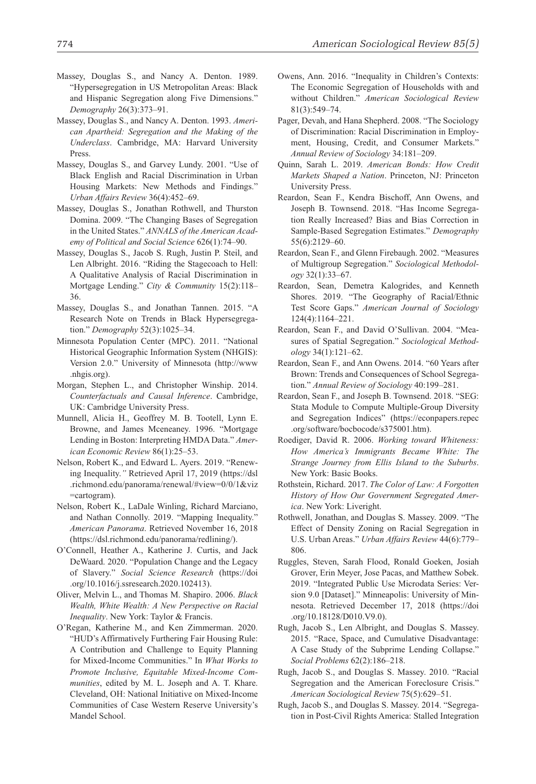- Massey, Douglas S., and Nancy A. Denton. 1989. "Hypersegregation in US Metropolitan Areas: Black and Hispanic Segregation along Five Dimensions." *Demography* 26(3):373–91.
- Massey, Douglas S., and Nancy A. Denton. 1993. *American Apartheid: Segregation and the Making of the Underclass*. Cambridge, MA: Harvard University Press.
- Massey, Douglas S., and Garvey Lundy. 2001. "Use of Black English and Racial Discrimination in Urban Housing Markets: New Methods and Findings." *Urban Affairs Review* 36(4):452–69.
- Massey, Douglas S., Jonathan Rothwell, and Thurston Domina. 2009. "The Changing Bases of Segregation in the United States." *ANNALS of the American Academy of Political and Social Science* 626(1):74–90.
- Massey, Douglas S., Jacob S. Rugh, Justin P. Steil, and Len Albright. 2016. "Riding the Stagecoach to Hell: A Qualitative Analysis of Racial Discrimination in Mortgage Lending." *City & Community* 15(2):118– 36.
- Massey, Douglas S., and Jonathan Tannen. 2015. "A Research Note on Trends in Black Hypersegregation." *Demography* 52(3):1025–34.
- Minnesota Population Center (MPC). 2011. "National Historical Geographic Information System (NHGIS): Version 2.0." University of Minnesota ([http://www](http://www.nhgis.org) [.nhgis.org](http://www.nhgis.org)).
- Morgan, Stephen L., and Christopher Winship. 2014. *Counterfactuals and Causal Inference*. Cambridge, UK: Cambridge University Press.
- Munnell, Alicia H., Geoffrey M. B. Tootell, Lynn E. Browne, and James Mceneaney. 1996. "Mortgage Lending in Boston: Interpreting HMDA Data." *American Economic Review* 86(1):25–53.
- Nelson, Robert K., and Edward L. Ayers. 2019. "Renewing Inequality.*"* Retrieved April 17, 2019 [\(https://dsl](https://dsl.richmond.edu/panorama/renewal/#view=0/0/1&viz=cartogram) [.richmond.edu/panorama/renewal/#view=0/0/1&viz](https://dsl.richmond.edu/panorama/renewal/#view=0/0/1&viz=cartogram) [=cartogram](https://dsl.richmond.edu/panorama/renewal/#view=0/0/1&viz=cartogram)).
- Nelson, Robert K., LaDale Winling, Richard Marciano, and Nathan Connolly. 2019. "Mapping Inequality." *American Panorama*. Retrieved November 16, 2018 [\(https://dsl.richmond.edu/panorama/redlining/](https://dsl.richmond.edu/panorama/redlining/)).
- O'Connell, Heather A., Katherine J. Curtis, and Jack DeWaard. 2020. "Population Change and the Legacy of Slavery." *Social Science Research* ([https://doi](https://doi.org/10.1016/j.ssresearch.2020.102413) [.org/10.1016/j.ssresearch.2020.102413\)](https://doi.org/10.1016/j.ssresearch.2020.102413).
- Oliver, Melvin L., and Thomas M. Shapiro. 2006. *Black Wealth, White Wealth: A New Perspective on Racial Inequality*. New York: Taylor & Francis.
- O'Regan, Katherine M., and Ken Zimmerman. 2020. "HUD's Affirmatively Furthering Fair Housing Rule: A Contribution and Challenge to Equity Planning for Mixed-Income Communities." In *What Works to Promote Inclusive, Equitable Mixed-Income Communities*, edited by M. L. Joseph and A. T. Khare. Cleveland, OH: National Initiative on Mixed-Income Communities of Case Western Reserve University's Mandel School.
- Owens, Ann. 2016. "Inequality in Children's Contexts: The Economic Segregation of Households with and without Children." *American Sociological Review* 81(3):549–74.
- Pager, Devah, and Hana Shepherd. 2008. "The Sociology of Discrimination: Racial Discrimination in Employment, Housing, Credit, and Consumer Markets." *Annual Review of Sociology* 34:181–209.
- Quinn, Sarah L. 2019. *American Bonds: How Credit Markets Shaped a Nation*. Princeton, NJ: Princeton University Press.
- Reardon, Sean F., Kendra Bischoff, Ann Owens, and Joseph B. Townsend. 2018. "Has Income Segregation Really Increased? Bias and Bias Correction in Sample-Based Segregation Estimates." *Demography* 55(6):2129–60.
- Reardon, Sean F., and Glenn Firebaugh. 2002. "Measures of Multigroup Segregation." *Sociological Methodology* 32(1):33–67.
- Reardon, Sean, Demetra Kalogrides, and Kenneth Shores. 2019. "The Geography of Racial/Ethnic Test Score Gaps." *American Journal of Sociology* 124(4):1164–221.
- Reardon, Sean F., and David O'Sullivan. 2004. "Measures of Spatial Segregation." *Sociological Methodology* 34(1):121–62.
- Reardon, Sean F., and Ann Owens. 2014. "60 Years after Brown: Trends and Consequences of School Segregation." *Annual Review of Sociology* 40:199–281.
- Reardon, Sean F., and Joseph B. Townsend. 2018. "SEG: Stata Module to Compute Multiple-Group Diversity and Segregation Indices" ([https://econpapers.repec](https://econpapers.repec.org/software/bocbocode/s375001.htm) [.org/software/bocbocode/s375001.htm\)](https://econpapers.repec.org/software/bocbocode/s375001.htm).
- Roediger, David R. 2006. *Working toward Whiteness: How America's Immigrants Became White: The Strange Journey from Ellis Island to the Suburbs*. New York: Basic Books.
- Rothstein, Richard. 2017. *The Color of Law: A Forgotten History of How Our Government Segregated America*. New York: Liveright.
- Rothwell, Jonathan, and Douglas S. Massey. 2009. "The Effect of Density Zoning on Racial Segregation in U.S. Urban Areas." *Urban Affairs Review* 44(6):779– 806.
- Ruggles, Steven, Sarah Flood, Ronald Goeken, Josiah Grover, Erin Meyer, Jose Pacas, and Matthew Sobek. 2019. "Integrated Public Use Microdata Series: Version 9.0 [Dataset]." Minneapolis: University of Minnesota. Retrieved December 17, 2018 [\(https://doi](https://doi.org/10.18128/D010.V9.0) [.org/10.18128/D010.V9.0\)](https://doi.org/10.18128/D010.V9.0).
- Rugh, Jacob S., Len Albright, and Douglas S. Massey. 2015. "Race, Space, and Cumulative Disadvantage: A Case Study of the Subprime Lending Collapse." *Social Problems* 62(2):186–218.
- Rugh, Jacob S., and Douglas S. Massey. 2010. "Racial Segregation and the American Foreclosure Crisis." *American Sociological Review* 75(5):629–51.
- Rugh, Jacob S., and Douglas S. Massey. 2014. "Segregation in Post-Civil Rights America: Stalled Integration